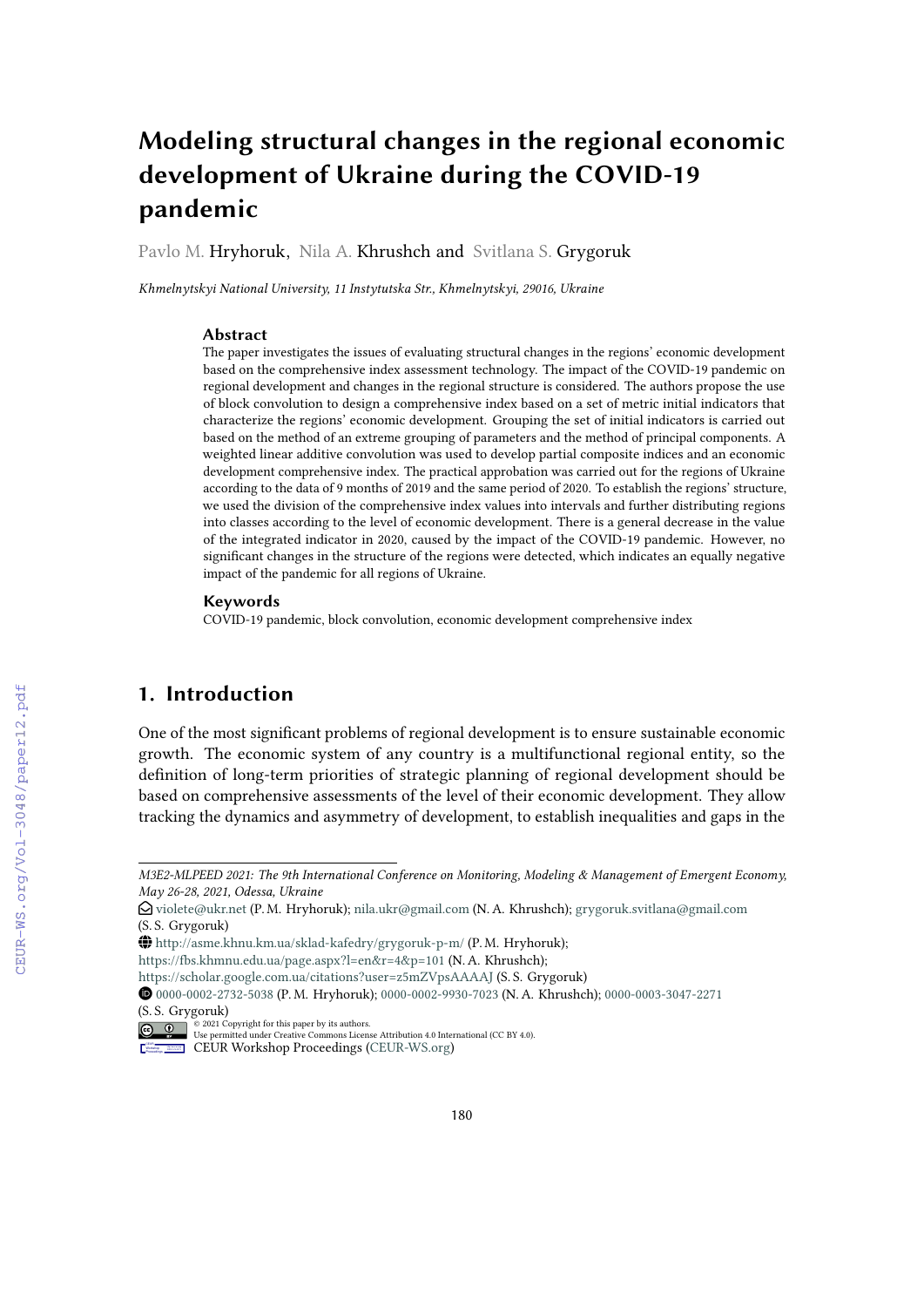# **Modeling structural changes in the regional economic development of Ukraine during the COVID-19 pandemic**

Pavlo M. Hryhoruk, Nila A. Khrushch and Svitlana S. Grygoruk

*Khmelnytskyi National University, 11 Instytutska Str., Khmelnytskyi, 29016, Ukraine*

### **Abstract**

The paper investigates the issues of evaluating structural changes in the regions' economic development based on the comprehensive index assessment technology. The impact of the COVID-19 pandemic on regional development and changes in the regional structure is considered. The authors propose the use of block convolution to design a comprehensive index based on a set of metric initial indicators that characterize the regions' economic development. Grouping the set of initial indicators is carried out based on the method of an extreme grouping of parameters and the method of principal components. A weighted linear additive convolution was used to develop partial composite indices and an economic development comprehensive index. The practical approbation was carried out for the regions of Ukraine according to the data of 9 months of 2019 and the same period of 2020. To establish the regions' structure, we used the division of the comprehensive index values into intervals and further distributing regions into classes according to the level of economic development. There is a general decrease in the value of the integrated indicator in 2020, caused by the impact of the COVID-19 pandemic. However, no significant changes in the structure of the regions were detected, which indicates an equally negative impact of the pandemic for all regions of Ukraine.

#### **Keywords**

COVID-19 pandemic, block convolution, economic development comprehensive index

# **1. Introduction**

One of the most significant problems of regional development is to ensure sustainable economic growth. The economic system of any country is a multifunctional regional entity, so the definition of long-term priorities of strategic planning of regional development should be based on comprehensive assessments of the level of their economic development. They allow tracking the dynamics and asymmetry of development, to establish inequalities and gaps in the

- <https://fbs.khmnu.edu.ua/page.aspx?l=en&r=4&p=101> (N. A. Khrushch);
- <https://scholar.google.com.ua/citations?user=z5mZVpsAAAAJ> (S. S. Grygoruk)

*M3E2-MLPEED 2021: The 9th International Conference on Monitoring, Modeling & Management of Emergent Economy, May 26-28, 2021, Odessa, Ukraine*

 $\bigcirc$  [violete@ukr.net](mailto:violete@ukr.net) (P. M. Hryhoruk); [nila.ukr@gmail.com](mailto:nila.ukr@gmail.com) (N. A. Khrushch); [grygoruk.svitlana@gmail.com](mailto:grygoruk.svitlana@gmail.com) (S. S. Grygoruk)

GLOBE <http://asme.khnu.km.ua/sklad-kafedry/grygoruk-p-m/> (P. M. Hryhoruk);

Orcid [0000-0002-2732-5038](https://orcid.org/0000-0002-2732-5038) (P. M. Hryhoruk); [0000-0002-9930-7023](https://orcid.org/0000-0002-9930-7023) (N. A. Khrushch); [0000-0003-3047-2271](https://orcid.org/0000-0003-3047-2271) (S. S. Grygoruk)

<sup>© 2021</sup> Copyright for this paper by its authors. Use permitted under Creative Commons License Attribution 4.0 International (CC BY 4.0).

CEUR Workshop [Proceedings](http://ceur-ws.org) [\(CEUR-WS.org\)](http://ceur-ws.org)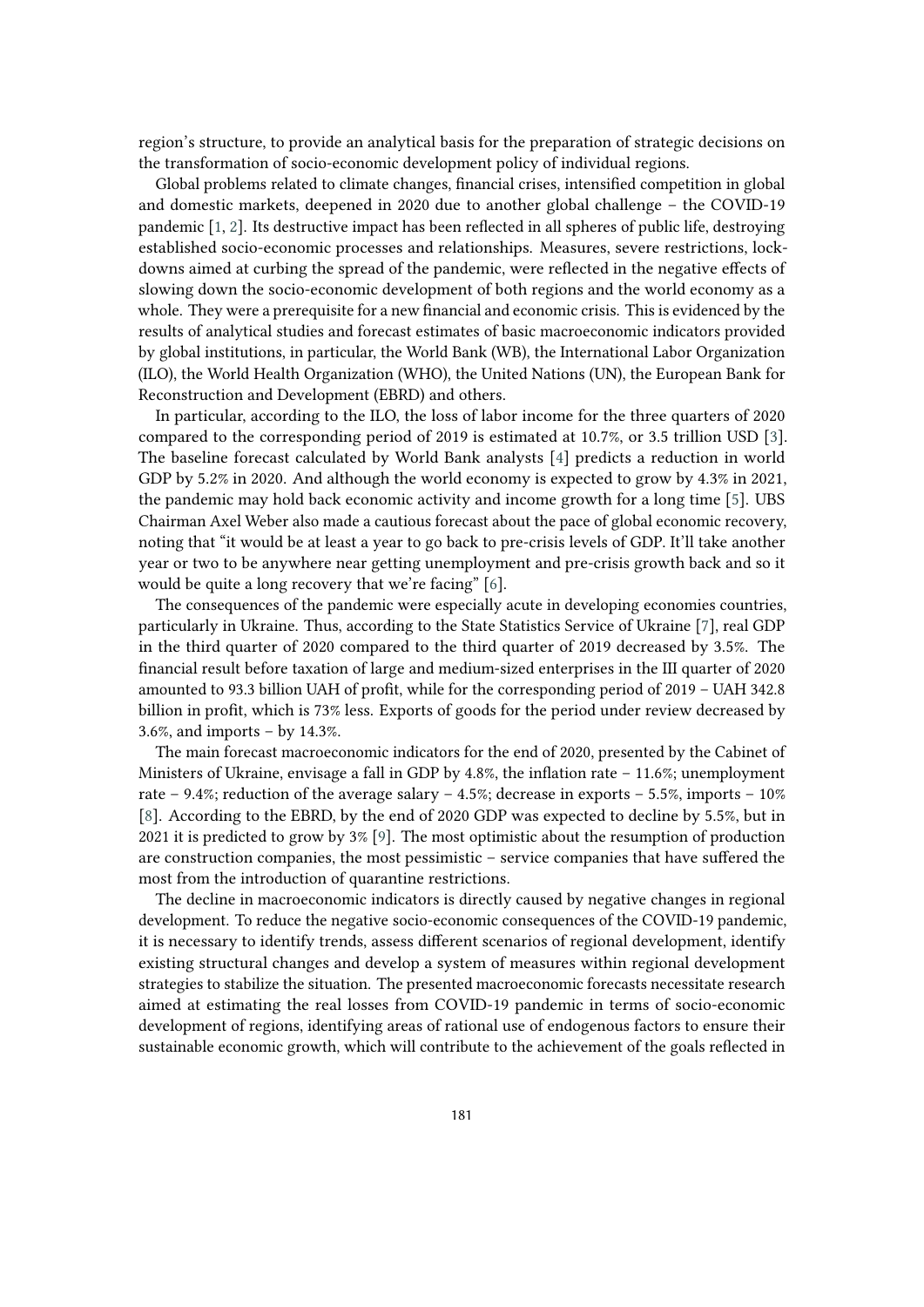region's structure, to provide an analytical basis for the preparation of strategic decisions on the transformation of socio-economic development policy of individual regions.

Global problems related to climate changes, financial crises, intensified competition in global and domestic markets, deepened in 2020 due to another global challenge – the COVID-19 pandemic [\[1,](#page-16-0) [2\]](#page-16-1). Its destructive impact has been reflected in all spheres of public life, destroying established socio-economic processes and relationships. Measures, severe restrictions, lockdowns aimed at curbing the spread of the pandemic, were reflected in the negative effects of slowing down the socio-economic development of both regions and the world economy as a whole. They were a prerequisite for a new financial and economic crisis. This is evidenced by the results of analytical studies and forecast estimates of basic macroeconomic indicators provided by global institutions, in particular, the World Bank (WB), the International Labor Organization (ILO), the World Health Organization (WHO), the United Nations (UN), the European Bank for Reconstruction and Development (EBRD) and others.

In particular, according to the ILO, the loss of labor income for the three quarters of 2020 compared to the corresponding period of 2019 is estimated at 10.7%, or 3.5 trillion USD [\[3\]](#page-16-2). The baseline forecast calculated by World Bank analysts [\[4\]](#page-16-3) predicts a reduction in world GDP by 5.2% in 2020. And although the world economy is expected to grow by 4.3% in 2021, the pandemic may hold back economic activity and income growth for a long time [\[5\]](#page-16-4). UBS Chairman Axel Weber also made a cautious forecast about the pace of global economic recovery, noting that "it would be at least a year to go back to pre-crisis levels of GDP. It'll take another year or two to be anywhere near getting unemployment and pre-crisis growth back and so it would be quite a long recovery that we're facing" [\[6\]](#page-16-5).

The consequences of the pandemic were especially acute in developing economies countries, particularly in Ukraine. Thus, according to the State Statistics Service of Ukraine [\[7\]](#page-16-6), real GDP in the third quarter of 2020 compared to the third quarter of 2019 decreased by 3.5%. The financial result before taxation of large and medium-sized enterprises in the III quarter of 2020 amounted to 93.3 billion UAH of profit, while for the corresponding period of 2019 – UAH 342.8 billion in profit, which is 73% less. Exports of goods for the period under review decreased by 3.6%, and imports – by 14.3%.

The main forecast macroeconomic indicators for the end of 2020, presented by the Cabinet of Ministers of Ukraine, envisage a fall in GDP by 4.8%, the inflation rate – 11.6%; unemployment rate – 9.4%; reduction of the average salary – 4.5%; decrease in exports – 5.5%, imports – 10% [\[8\]](#page-16-7). According to the EBRD, by the end of 2020 GDP was expected to decline by 5.5%, but in 2021 it is predicted to grow by 3% [\[9\]](#page-16-8). The most optimistic about the resumption of production are construction companies, the most pessimistic – service companies that have suffered the most from the introduction of quarantine restrictions.

The decline in macroeconomic indicators is directly caused by negative changes in regional development. To reduce the negative socio-economic consequences of the COVID-19 pandemic, it is necessary to identify trends, assess different scenarios of regional development, identify existing structural changes and develop a system of measures within regional development strategies to stabilize the situation. The presented macroeconomic forecasts necessitate research aimed at estimating the real losses from COVID-19 pandemic in terms of socio-economic development of regions, identifying areas of rational use of endogenous factors to ensure their sustainable economic growth, which will contribute to the achievement of the goals reflected in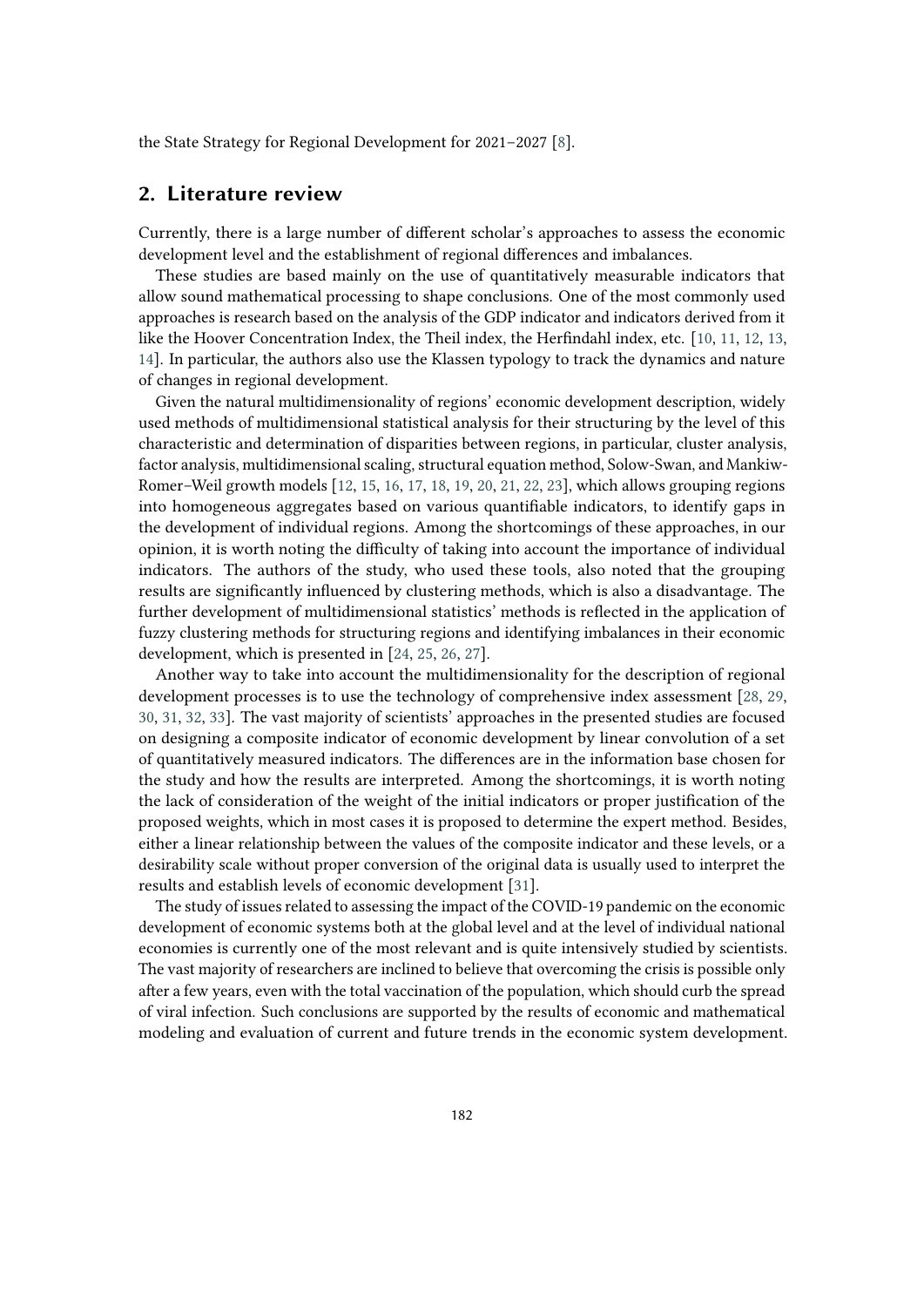the State Strategy for Regional Development for 2021–2027 [\[8\]](#page-16-7).

### **2. Literature review**

Currently, there is a large number of different scholar's approaches to assess the economic development level and the establishment of regional differences and imbalances.

These studies are based mainly on the use of quantitatively measurable indicators that allow sound mathematical processing to shape conclusions. One of the most commonly used approaches is research based on the analysis of the GDP indicator and indicators derived from it like the Hoover Concentration Index, the Theil index, the Herfindahl index, etc. [\[10,](#page-16-9) [11,](#page-16-10) [12,](#page-16-11) [13,](#page-17-0) [14\]](#page-17-1). In particular, the authors also use the Klassen typology to track the dynamics and nature of changes in regional development.

Given the natural multidimensionality of regions' economic development description, widely used methods of multidimensional statistical analysis for their structuring by the level of this characteristic and determination of disparities between regions, in particular, cluster analysis, factor analysis, multidimensional scaling, structural equation method, Solow-Swan, and Mankiw-Romer–Weil growth models [\[12,](#page-16-11) [15,](#page-17-2) [16,](#page-17-3) [17,](#page-17-4) [18,](#page-17-5) [19,](#page-17-6) [20,](#page-17-7) [21,](#page-17-8) [22,](#page-17-9) [23\]](#page-17-10), which allows grouping regions into homogeneous aggregates based on various quantifiable indicators, to identify gaps in the development of individual regions. Among the shortcomings of these approaches, in our opinion, it is worth noting the difficulty of taking into account the importance of individual indicators. The authors of the study, who used these tools, also noted that the grouping results are significantly influenced by clustering methods, which is also a disadvantage. The further development of multidimensional statistics' methods is reflected in the application of fuzzy clustering methods for structuring regions and identifying imbalances in their economic development, which is presented in [\[24,](#page-17-11) [25,](#page-17-12) [26,](#page-17-13) [27\]](#page-18-0).

Another way to take into account the multidimensionality for the description of regional development processes is to use the technology of comprehensive index assessment [\[28,](#page-18-1) [29,](#page-18-2) [30,](#page-18-3) [31,](#page-18-4) [32,](#page-18-5) [33\]](#page-18-6). The vast majority of scientists' approaches in the presented studies are focused on designing a composite indicator of economic development by linear convolution of a set of quantitatively measured indicators. The differences are in the information base chosen for the study and how the results are interpreted. Among the shortcomings, it is worth noting the lack of consideration of the weight of the initial indicators or proper justification of the proposed weights, which in most cases it is proposed to determine the expert method. Besides, either a linear relationship between the values of the composite indicator and these levels, or a desirability scale without proper conversion of the original data is usually used to interpret the results and establish levels of economic development [\[31\]](#page-18-4).

The study of issues related to assessing the impact of the COVID-19 pandemic on the economic development of economic systems both at the global level and at the level of individual national economies is currently one of the most relevant and is quite intensively studied by scientists. The vast majority of researchers are inclined to believe that overcoming the crisis is possible only after a few years, even with the total vaccination of the population, which should curb the spread of viral infection. Such conclusions are supported by the results of economic and mathematical modeling and evaluation of current and future trends in the economic system development.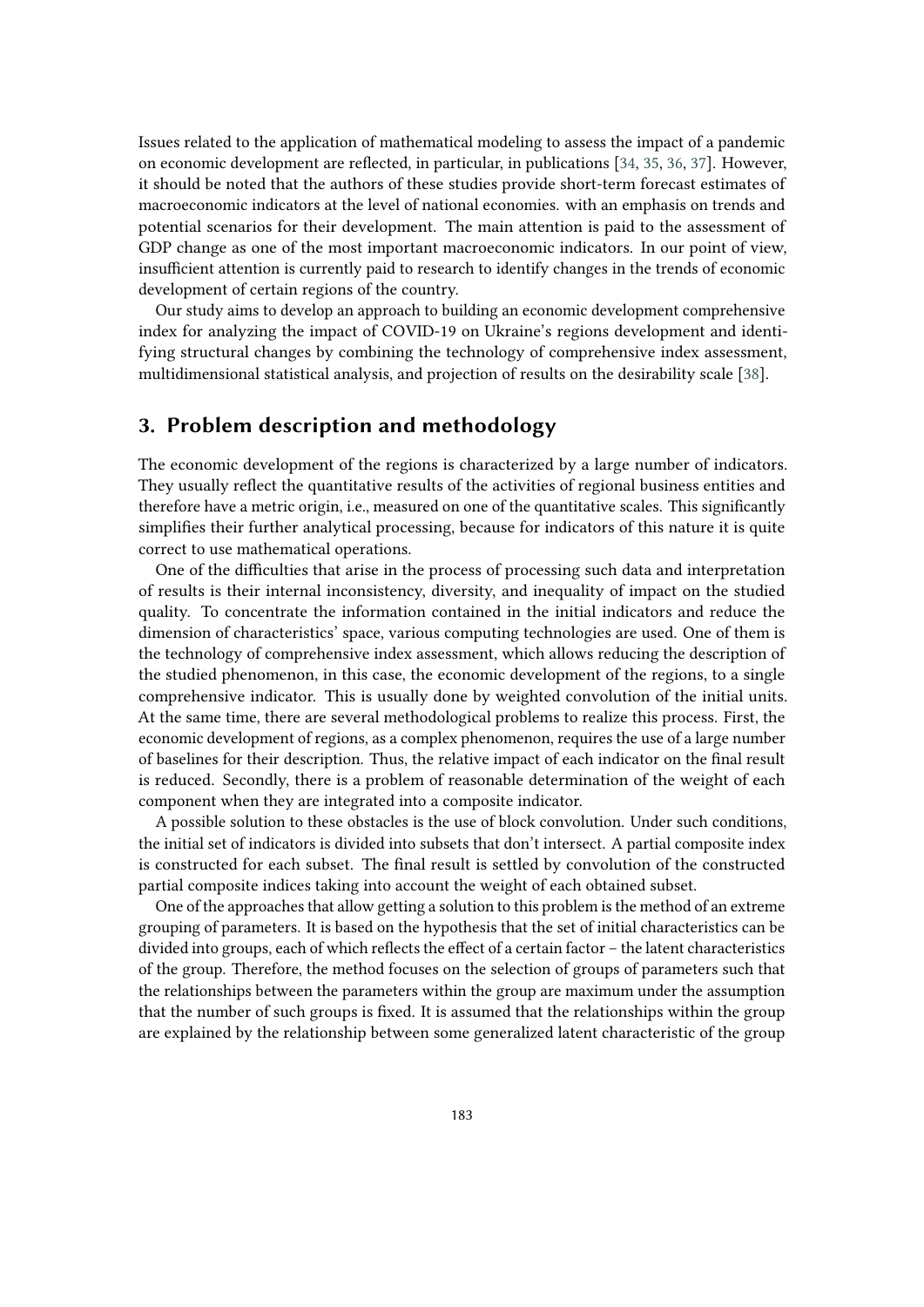Issues related to the application of mathematical modeling to assess the impact of a pandemic on economic development are reflected, in particular, in publications [\[34,](#page-18-7) [35,](#page-18-8) [36,](#page-18-9) [37\]](#page-18-10). However, it should be noted that the authors of these studies provide short-term forecast estimates of macroeconomic indicators at the level of national economies. with an emphasis on trends and potential scenarios for their development. The main attention is paid to the assessment of GDP change as one of the most important macroeconomic indicators. In our point of view, insufficient attention is currently paid to research to identify changes in the trends of economic development of certain regions of the country.

Our study aims to develop an approach to building an economic development comprehensive index for analyzing the impact of COVID-19 on Ukraine's regions development and identifying structural changes by combining the technology of comprehensive index assessment, multidimensional statistical analysis, and projection of results on the desirability scale [\[38\]](#page-18-11).

# **3. Problem description and methodology**

The economic development of the regions is characterized by a large number of indicators. They usually reflect the quantitative results of the activities of regional business entities and therefore have a metric origin, i.e., measured on one of the quantitative scales. This significantly simplifies their further analytical processing, because for indicators of this nature it is quite correct to use mathematical operations.

One of the difficulties that arise in the process of processing such data and interpretation of results is their internal inconsistency, diversity, and inequality of impact on the studied quality. To concentrate the information contained in the initial indicators and reduce the dimension of characteristics' space, various computing technologies are used. One of them is the technology of comprehensive index assessment, which allows reducing the description of the studied phenomenon, in this case, the economic development of the regions, to a single comprehensive indicator. This is usually done by weighted convolution of the initial units. At the same time, there are several methodological problems to realize this process. First, the economic development of regions, as a complex phenomenon, requires the use of a large number of baselines for their description. Thus, the relative impact of each indicator on the final result is reduced. Secondly, there is a problem of reasonable determination of the weight of each component when they are integrated into a composite indicator.

A possible solution to these obstacles is the use of block convolution. Under such conditions, the initial set of indicators is divided into subsets that don't intersect. A partial composite index is constructed for each subset. The final result is settled by convolution of the constructed partial composite indices taking into account the weight of each obtained subset.

One of the approaches that allow getting a solution to this problem is the method of an extreme grouping of parameters. It is based on the hypothesis that the set of initial characteristics can be divided into groups, each of which reflects the effect of a certain factor – the latent characteristics of the group. Therefore, the method focuses on the selection of groups of parameters such that the relationships between the parameters within the group are maximum under the assumption that the number of such groups is fixed. It is assumed that the relationships within the group are explained by the relationship between some generalized latent characteristic of the group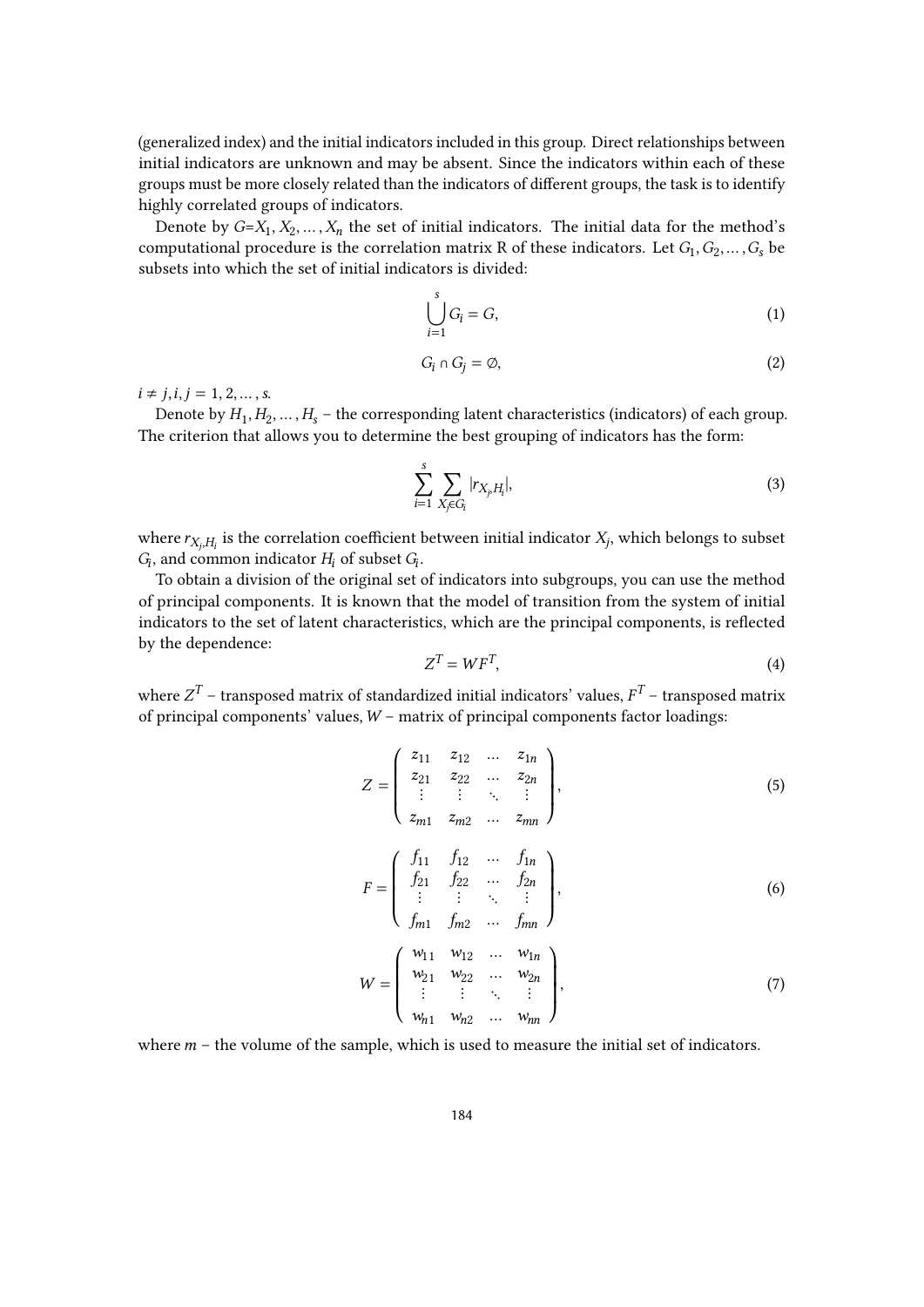(generalized index) and the initial indicators included in this group. Direct relationships between initial indicators are unknown and may be absent. Since the indicators within each of these groups must be more closely related than the indicators of different groups, the task is to identify highly correlated groups of indicators.

Denote by  $G = X_1, X_2, \ldots, X_n$  the set of initial indicators. The initial data for the method's computational procedure is the correlation matrix R of these indicators. Let  $G_1, G_2, \ldots, G_s$  be subsets into which the set of initial indicators is divided:

$$
\bigcup_{i=1}^{s} G_i = G,\tag{1}
$$

$$
G_i \cap G_j = \emptyset,\tag{2}
$$

 $i \neq j, i, j = 1, 2, ..., s.$ 

Denote by  $H_1, H_2, \ldots, H_s$  – the corresponding latent characteristics (indicators) of each group. The criterion that allows you to determine the best grouping of indicators has the form:

<span id="page-4-0"></span>
$$
\sum_{i=1}^{s} \sum_{X_j \in G_i} |r_{X_j, H_i}|,\tag{3}
$$

where  $r_{X_j,H_i}$  is the correlation coefficient between initial indicator  $X_j$ , which belongs to subset  $G_i$ , and common indicator  $H_i$  of subset  $G_i$ .

To obtain a division of the original set of indicators into subgroups, you can use the method of principal components. It is known that the model of transition from the system of initial indicators to the set of latent characteristics, which are the principal components, is reflected by the dependence:

$$
Z^T = W F^T,\tag{4}
$$

where  $Z^T$  – transposed matrix of standardized initial indicators' values,  $F^T$  – transposed matrix of principal components' values,  $W$  – matrix of principal components factor loadings:

$$
Z = \begin{pmatrix} z_{11} & z_{12} & \dots & z_{1n} \\ z_{21} & z_{22} & \dots & z_{2n} \\ \vdots & \vdots & \ddots & \vdots \\ z_{m1} & z_{m2} & \dots & z_{mn} \end{pmatrix},
$$
 (5)

$$
F = \begin{pmatrix} f_{11} & f_{12} & \dots & f_{1n} \\ f_{21} & f_{22} & \dots & f_{2n} \\ \vdots & \vdots & \ddots & \vdots \\ f_{m1} & f_{m2} & \dots & f_{mn} \end{pmatrix},
$$
(6)

$$
W = \begin{pmatrix} w_{11} & w_{12} & \dots & w_{1n} \\ w_{21} & w_{22} & \dots & w_{2n} \\ \vdots & \vdots & \ddots & \vdots \\ w_{n1} & w_{n2} & \dots & w_{nn} \end{pmatrix},
$$
 (7)

where  $m$  – the volume of the sample, which is used to measure the initial set of indicators.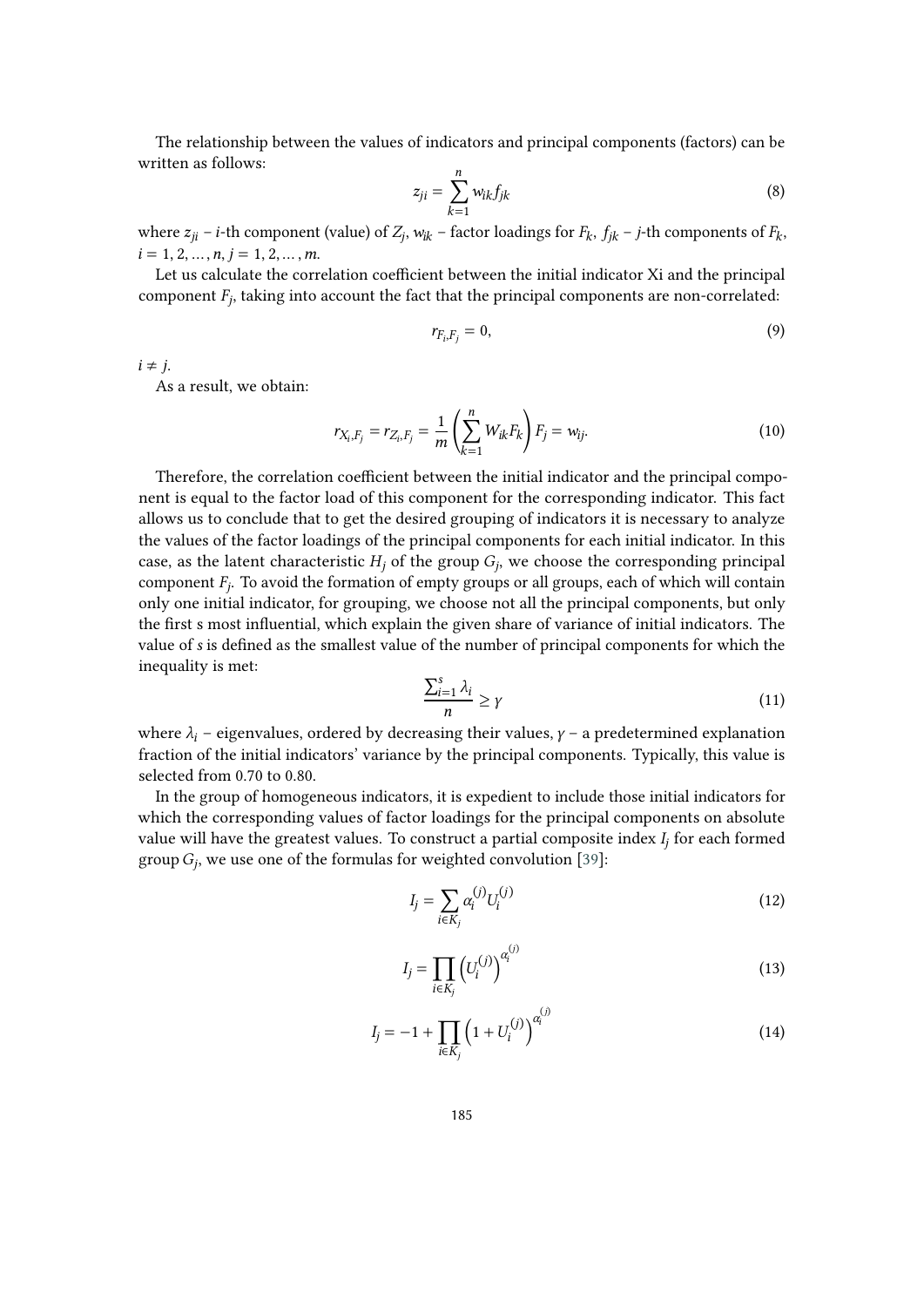The relationship between the values of indicators and principal components (factors) can be written as follows:  $\mathfrak n$ 

$$
z_{ji} = \sum_{k=1}^{n} w_{ik} f_{jk} \tag{8}
$$

where  $z_{ji}$  – *i*-th component (value) of  $Z_j$ ,  $w_{ik}$  – factor loadings for  $F_k$ ,  $f_{jk}$  – *j*-th components of  $F_k$ ,  $i = 1, 2, \ldots, n, j = 1, 2, \ldots, m.$ 

Let us calculate the correlation coefficient between the initial indicator Xi and the principal component  $F_j$ , taking into account the fact that the principal components are non-correlated:

$$
r_{F_i,F_j}=0,\t\t(9)
$$

 $i \neq j$ .

As a result, we obtain:

<span id="page-5-3"></span>
$$
r_{X_i, F_j} = r_{Z_i, F_j} = \frac{1}{m} \left( \sum_{k=1}^n W_{ik} F_k \right) F_j = w_{ij}.
$$
 (10)

Therefore, the correlation coefficient between the initial indicator and the principal component is equal to the factor load of this component for the corresponding indicator. This fact allows us to conclude that to get the desired grouping of indicators it is necessary to analyze the values of the factor loadings of the principal components for each initial indicator. In this case, as the latent characteristic  $H_j$  of the group  $G_j$ , we choose the corresponding principal component  $F_j$ . To avoid the formation of empty groups or all groups, each of which will contain only one initial indicator, for grouping, we choose not all the principal components, but only the first s most influential, which explain the given share of variance of initial indicators. The value of is defined as the smallest value of the number of principal components for which the inequality is met:

<span id="page-5-4"></span>
$$
\frac{\sum_{i=1}^{s} \lambda_i}{n} \ge \gamma \tag{11}
$$

where  $\lambda_i$  – eigenvalues, ordered by decreasing their values,  $\gamma$  – a predetermined explanation fraction of the initial indicators' variance by the principal components. Typically, this value is selected from 0.70 to 0.80.

In the group of homogeneous indicators, it is expedient to include those initial indicators for which the corresponding values of factor loadings for the principal components on absolute value will have the greatest values. To construct a partial composite index  $I_j$  for each formed group  $G_j$ , we use one of the formulas for weighted convolution [\[39\]](#page-18-12):

<span id="page-5-0"></span>
$$
I_j = \sum_{i \in K_j} \alpha_i^{(j)} U_i^{(j)} \tag{12}
$$

<span id="page-5-1"></span>
$$
I_j = \prod_{i \in K_j} \left( U_i^{(j)} \right)^{\alpha_i^{(j)}} \tag{13}
$$

<span id="page-5-2"></span>
$$
I_j = -1 + \prod_{i \in K_j} \left( 1 + U_i^{(j)} \right)^{\alpha_i^{(j)}} \tag{14}
$$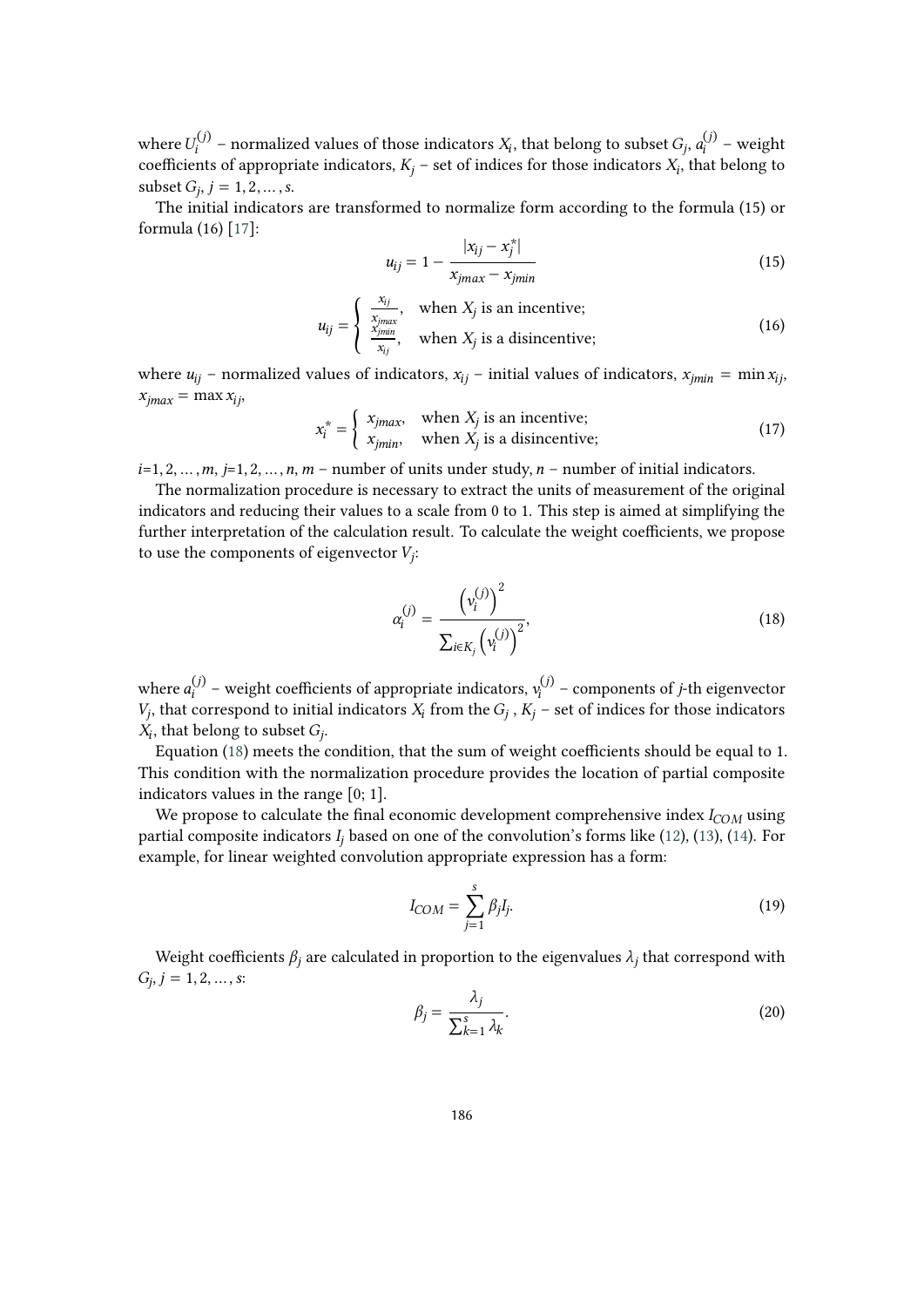where  $U_i^{(j)}$  – normalized values of those indicators  $X_i$ , that belong to subset  $G_j$ ,  $a_i^{(j)}$  – weight coefficients of appropriate indicators,  $K_j$  – set of indices for those indicators  $X_i$ , that belong to subset  $G_j$ ,  $j = 1, 2, ..., s$ .

The initial indicators are transformed to normalize form according to the formula (15) or formula (16) [\[17\]](#page-17-4):

$$
u_{ij} = 1 - \frac{|x_{ij} - x_j^*|}{x_{jmax} - x_{jmin}}
$$
 (15)

<span id="page-6-1"></span>
$$
u_{ij} = \begin{cases} \frac{x_{ij}}{x_{jmax}}, & \text{when } X_j \text{ is an incentive;}\\ \frac{x_{jmin}}{x_{ij}}, & \text{when } X_j \text{ is a disincentive;} \end{cases}
$$
(16)

where  $u_{ij}$  – normalized values of indicators,  $x_{ij}$  – initial values of indicators,  $x_{imin}$  = min  $x_{ij}$ ,  $x_{jmax} = \max x_{ij}$ 

$$
x_i^* = \begin{cases} x_{jmax}, & \text{when } X_j \text{ is an incentive;} \\ x_{jmin}, & \text{when } X_j \text{ is a disincentive;} \end{cases}
$$
 (17)

 $i=1, 2, \ldots, m$ ,  $j=1, 2, \ldots, n$ ,  $m-$  number of units under study,  $n-$  number of initial indicators.

The normalization procedure is necessary to extract the units of measurement of the original indicators and reducing their values to a scale from 0 to 1. This step is aimed at simplifying the further interpretation of the calculation result. To calculate the weight coefficients, we propose to use the components of eigenvector  $V_j$ :

<span id="page-6-0"></span>
$$
\alpha_i^{(j)} = \frac{\left(v_i^{(j)}\right)^2}{\sum_{i \in K_j} \left(v_i^{(j)}\right)^2},\tag{18}
$$

where  $a_i^{(j)}$  – weight coefficients of appropriate indicators,  $v_i^{(j)}$  – components of *j*-th eigenvector  $V_j$ , that correspond to initial indicators  $X_i$  from the  $G_j$  ,  $K_j$  – set of indices for those indicators  $X_i$ , that belong to subset  $G_j$ .

Equation [\(18\)](#page-6-0) meets the condition, that the sum of weight coefficients should be equal to 1. This condition with the normalization procedure provides the location of partial composite indicators values in the range [0; 1].

We propose to calculate the final economic development comprehensive index  $I_{COM}$  using partial composite indicators  $I_i$  based on one of the convolution's forms like [\(12\)](#page-5-0), [\(13\)](#page-5-1), [\(14\)](#page-5-2). For example, for linear weighted convolution appropriate expression has a form:

<span id="page-6-2"></span>
$$
I_{COM} = \sum_{j=1}^{s} \beta_j I_j.
$$
 (19)

Weight coefficients  $\beta_j$  are calculated in proportion to the eigenvalues  $\lambda_j$  that correspond with  $G_j, j = 1, 2, ..., s$ :

<span id="page-6-3"></span>
$$
\beta_j = \frac{\lambda_j}{\sum_{k=1}^s \lambda_k}.\tag{20}
$$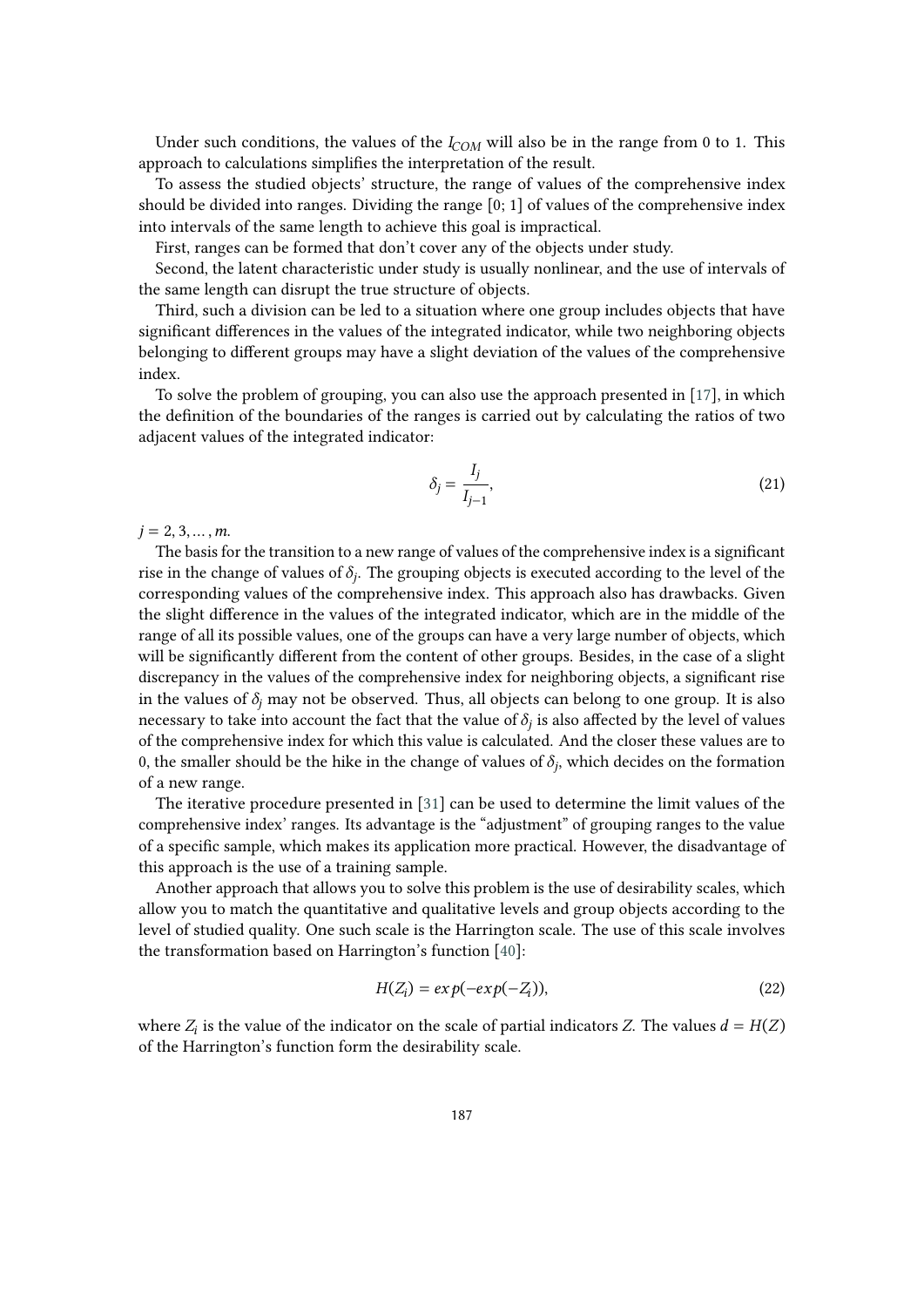Under such conditions, the values of the  $I_{COM}$  will also be in the range from 0 to 1. This approach to calculations simplifies the interpretation of the result.

To assess the studied objects' structure, the range of values of the comprehensive index should be divided into ranges. Dividing the range  $[0; 1]$  of values of the comprehensive index into intervals of the same length to achieve this goal is impractical.

First, ranges can be formed that don't cover any of the objects under study.

Second, the latent characteristic under study is usually nonlinear, and the use of intervals of the same length can disrupt the true structure of objects.

Third, such a division can be led to a situation where one group includes objects that have significant differences in the values of the integrated indicator, while two neighboring objects belonging to different groups may have a slight deviation of the values of the comprehensive index.

To solve the problem of grouping, you can also use the approach presented in [\[17\]](#page-17-4), in which the definition of the boundaries of the ranges is carried out by calculating the ratios of two adjacent values of the integrated indicator:

<span id="page-7-0"></span>
$$
\delta_j = \frac{I_j}{I_{j-1}},\tag{21}
$$

 $i = 2, 3, ..., m$ .

The basis for the transition to a new range of values of the comprehensive index is a significant rise in the change of values of  $\delta_j$ . The grouping objects is executed according to the level of the corresponding values of the comprehensive index. This approach also has drawbacks. Given the slight difference in the values of the integrated indicator, which are in the middle of the range of all its possible values, one of the groups can have a very large number of objects, which will be significantly different from the content of other groups. Besides, in the case of a slight discrepancy in the values of the comprehensive index for neighboring objects, a significant rise in the values of  $\delta_i$  may not be observed. Thus, all objects can belong to one group. It is also necessary to take into account the fact that the value of  $\delta_j$  is also affected by the level of values of the comprehensive index for which this value is calculated. And the closer these values are to 0, the smaller should be the hike in the change of values of  $\delta_j$ , which decides on the formation of a new range.

The iterative procedure presented in [\[31\]](#page-18-4) can be used to determine the limit values of the comprehensive index' ranges. Its advantage is the "adjustment" of grouping ranges to the value of a specific sample, which makes its application more practical. However, the disadvantage of this approach is the use of a training sample.

Another approach that allows you to solve this problem is the use of desirability scales, which allow you to match the quantitative and qualitative levels and group objects according to the level of studied quality. One such scale is the Harrington scale. The use of this scale involves the transformation based on Harrington's function [\[40\]](#page-18-13):

<span id="page-7-1"></span>
$$
H(Z_i) = exp(-exp(-Z_i)),
$$
\n(22)

where  $Z_i$  is the value of the indicator on the scale of partial indicators Z. The values  $d = H(Z)$ of the Harrington's function form the desirability scale.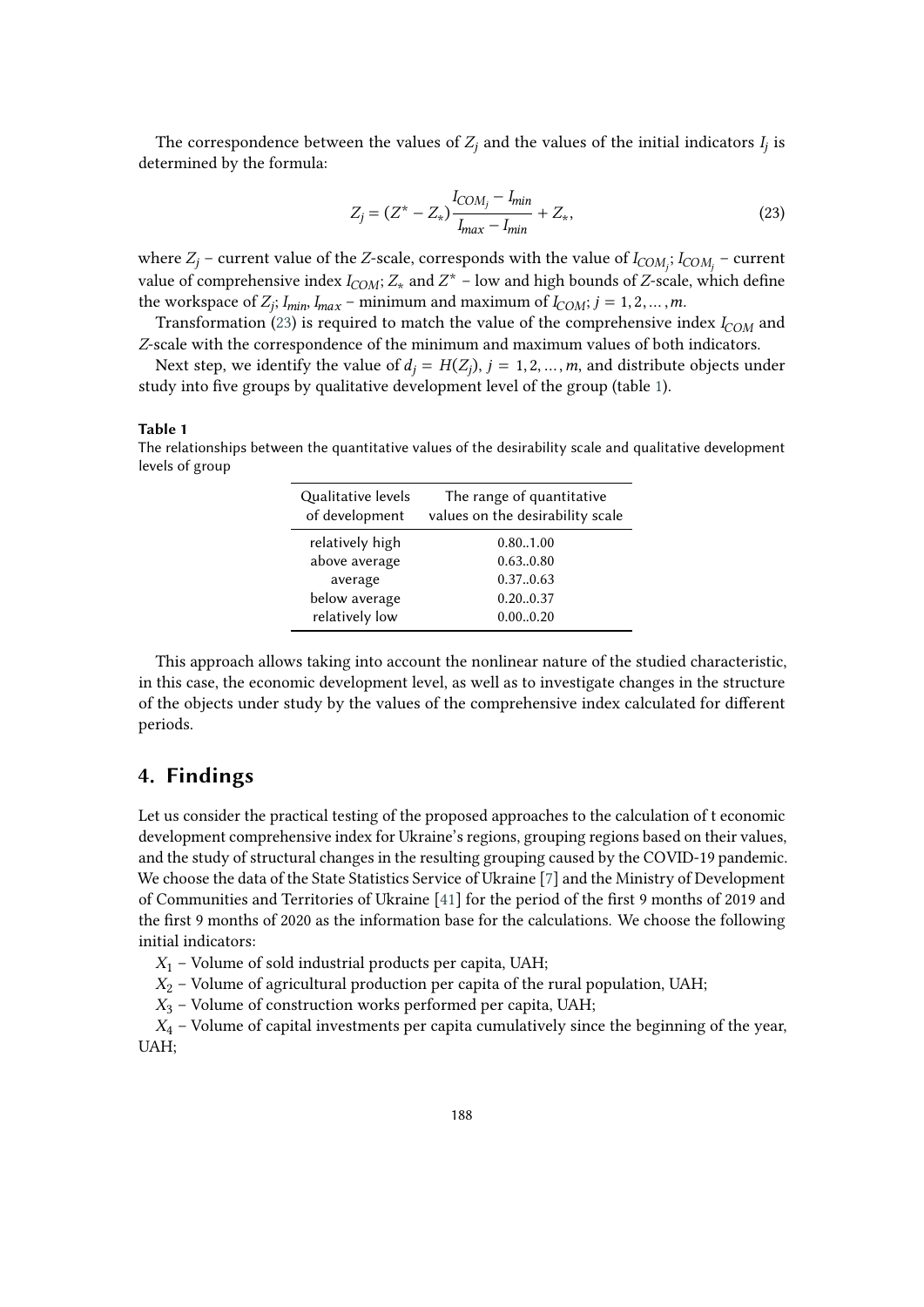The correspondence between the values of  $Z_j$  and the values of the initial indicators  $I_j$  is determined by the formula:

<span id="page-8-0"></span>
$$
Z_j = (Z^* - Z_*) \frac{I_{COM_j} - I_{min}}{I_{max} - I_{min}} + Z_*,
$$
\n(23)

where  $Z_j$  – current value of the Z-scale, corresponds with the value of  $I_{COM_j};\,I_{COM_j}$  – current value of comprehensive index  $I_{COM}$ ;  $Z_{\star}$  and  $Z^{\star}$  – low and high bounds of  $Z$ -scale, which define the workspace of  $Z_j$ ;  $I_{min}$ ,  $I_{max}$  – minimum and maximum of  $I_{COM}$ ;  $j = 1, 2, ..., m$ .

Transformation [\(23\)](#page-8-0) is required to match the value of the comprehensive index  $I_{COM}$  and Z-scale with the correspondence of the minimum and maximum values of both indicators.

Next step, we identify the value of  $d_j = H(Z_j)$ ,  $j = 1, 2, ..., m$ , and distribute objects under study into five groups by qualitative development level of the group (table [1\)](#page-8-1).

#### **Table 1**

<span id="page-8-1"></span>The relationships between the quantitative values of the desirability scale and qualitative development levels of group

| Qualitative levels<br>of development | The range of quantitative<br>values on the desirability scale |
|--------------------------------------|---------------------------------------------------------------|
| relatively high                      | 0.80.1.00                                                     |
| above average                        | 0.630.80                                                      |
| average                              | 0.370.63                                                      |
| below average                        | 0.200.37                                                      |
| relatively low                       | 0.000.20                                                      |

This approach allows taking into account the nonlinear nature of the studied characteristic, in this case, the economic development level, as well as to investigate changes in the structure of the objects under study by the values of the comprehensive index calculated for different periods.

### **4. Findings**

Let us consider the practical testing of the proposed approaches to the calculation of t economic development comprehensive index for Ukraine's regions, grouping regions based on their values, and the study of structural changes in the resulting grouping caused by the COVID-19 pandemic. We choose the data of the State Statistics Service of Ukraine [\[7\]](#page-16-6) and the Ministry of Development of Communities and Territories of Ukraine [\[41\]](#page-18-14) for the period of the first 9 months of 2019 and the first 9 months of 2020 as the information base for the calculations. We choose the following initial indicators:

 $X_1$  – Volume of sold industrial products per capita, UAH;

 $X_2$  – Volume of agricultural production per capita of the rural population, UAH;

 $X_3$  – Volume of construction works performed per capita, UAH;

 $X_4$  – Volume of capital investments per capita cumulatively since the beginning of the year, UAH;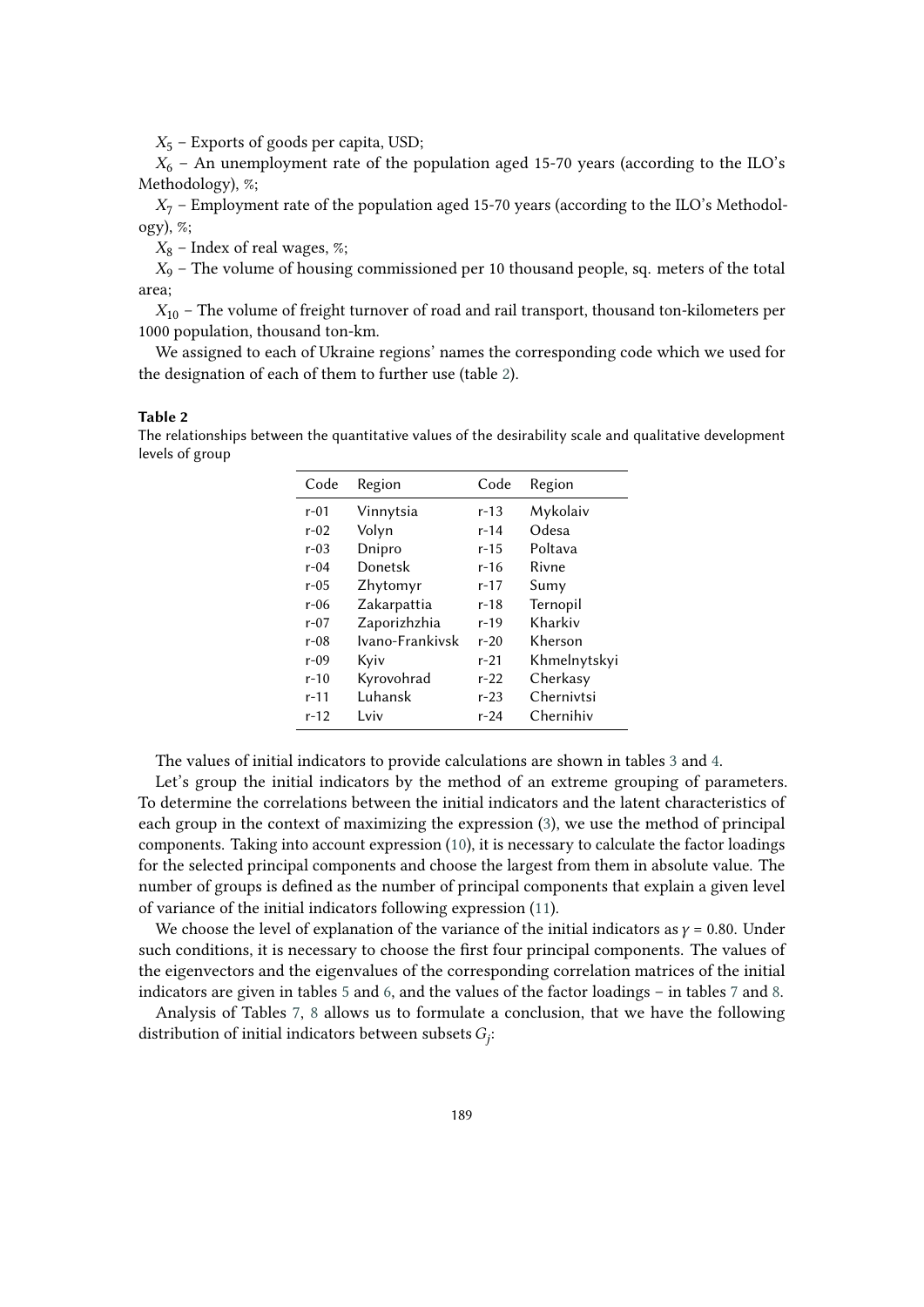$X_5$  – Exports of goods per capita, USD;

 $X<sub>6</sub>$  – An unemployment rate of the population aged 15-70 years (according to the ILO's Methodology), %;

 $X_7$  – Employment rate of the population aged 15-70 years (according to the ILO's Methodology), %;

 $X_8$  – Index of real wages, %;

 $X_9$  – The volume of housing commissioned per 10 thousand people, sq. meters of the total area;

 $X_{10}$  – The volume of freight turnover of road and rail transport, thousand ton-kilometers per 1000 population, thousand ton-km.

We assigned to each of Ukraine regions' names the corresponding code which we used for the designation of each of them to further use (table [2\)](#page-9-0).

#### **Table 2**

<span id="page-9-0"></span>The relationships between the quantitative values of the desirability scale and qualitative development levels of group

| Code     | Region          | Code     | Region       |
|----------|-----------------|----------|--------------|
| r-01     | Vinnytsia       | r-13     | Mykolaiv     |
| $r-02$   | Volyn           | r-14     | Odesa        |
| $r-0.3$  | Dnipro          | r-15     | Poltava      |
| $r-04$   | Donetsk         | r-16     | Rivne        |
| r-05     | Zhytomyr        | r-17     | Sumy         |
| $r-06$   | Zakarpattia     | r-18     | Ternopil     |
| $r - 07$ | Zaporizhzhia    | r-19     | Kharkiv      |
| r-08     | Ivano-Frankiysk | r-20     | Kherson      |
| $r-09$   | Kyiv            | $r - 21$ | Khmelnytskyi |
| $r-10$   | Kyrovohrad      | r-22     | Cherkasy     |
| r-11     | Luhansk         | $r - 23$ | Chernivtsi   |
| $r-12$   | Lviv            | $r - 24$ | Chernihiv    |

The values of initial indicators to provide calculations are shown in tables [3](#page-10-0) and [4.](#page-11-0)

Let's group the initial indicators by the method of an extreme grouping of parameters. To determine the correlations between the initial indicators and the latent characteristics of each group in the context of maximizing the expression [\(3\)](#page-4-0), we use the method of principal components. Taking into account expression [\(10\)](#page-5-3), it is necessary to calculate the factor loadings for the selected principal components and choose the largest from them in absolute value. The number of groups is defined as the number of principal components that explain a given level of variance of the initial indicators following expression [\(11\)](#page-5-4).

We choose the level of explanation of the variance of the initial indicators as  $y = 0.80$ . Under such conditions, it is necessary to choose the first four principal components. The values of the eigenvectors and the eigenvalues of the corresponding correlation matrices of the initial indicators are given in tables [5](#page-12-0) and [6,](#page-12-1) and the values of the factor loadings – in tables [7](#page-13-0) and [8.](#page-13-1)

Analysis of Tables [7,](#page-13-0) [8](#page-13-1) allows us to formulate a conclusion, that we have the following distribution of initial indicators between subsets  $G_j$ :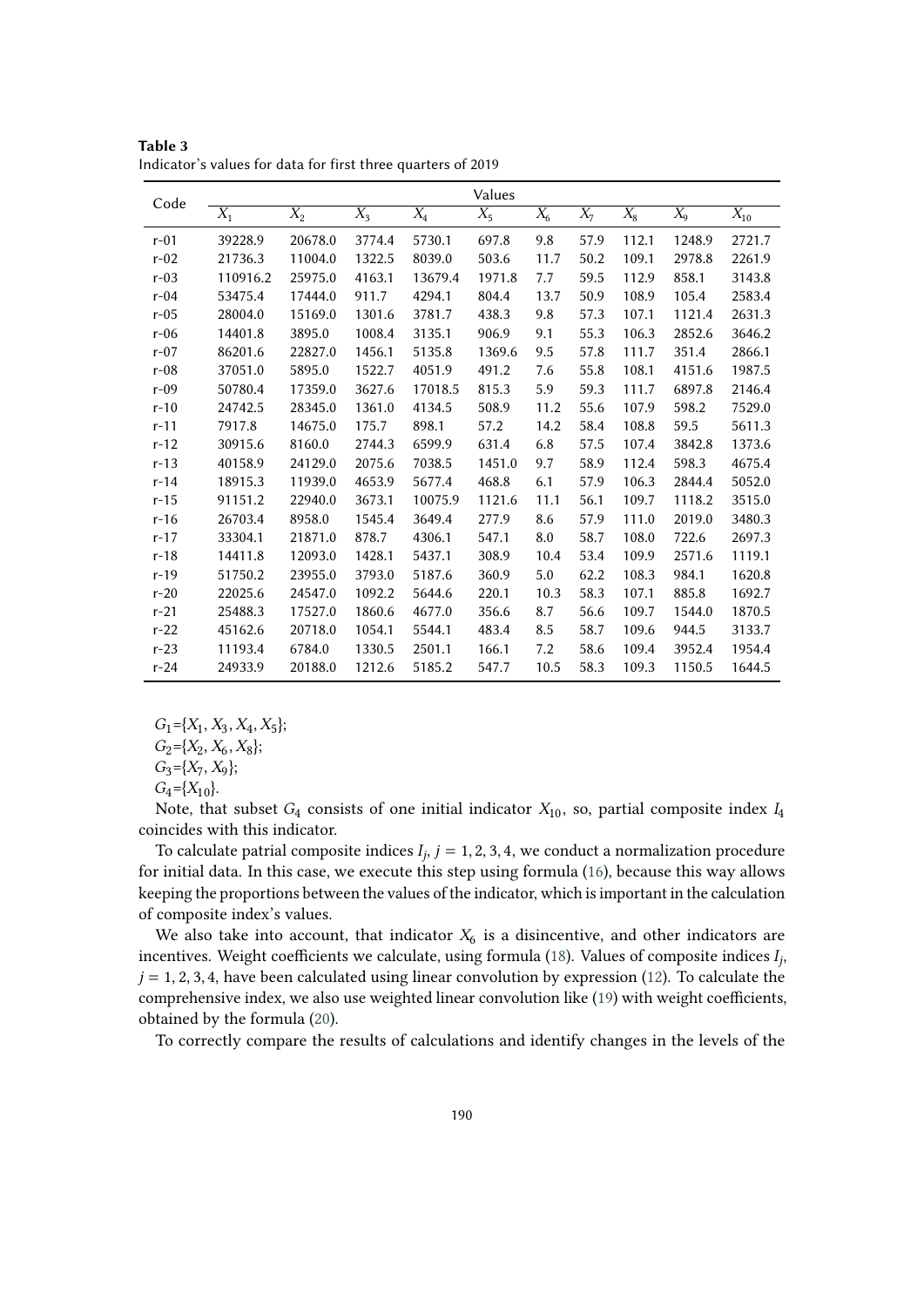| Code     |          |         |        |         | Values |       |       |       |        |          |
|----------|----------|---------|--------|---------|--------|-------|-------|-------|--------|----------|
|          | $X_1$    | $X_2$   | $X_3$  | $X_4$   | $X_5$  | $X_6$ | $X_7$ | $X_8$ | $X_9$  | $X_{10}$ |
| $r-01$   | 39228.9  | 20678.0 | 3774.4 | 5730.1  | 697.8  | 9.8   | 57.9  | 112.1 | 1248.9 | 2721.7   |
| $r-02$   | 21736.3  | 11004.0 | 1322.5 | 8039.0  | 503.6  | 11.7  | 50.2  | 109.1 | 2978.8 | 2261.9   |
| $r-03$   | 110916.2 | 25975.0 | 4163.1 | 13679.4 | 1971.8 | 7.7   | 59.5  | 112.9 | 858.1  | 3143.8   |
| $r-04$   | 53475.4  | 17444.0 | 911.7  | 4294.1  | 804.4  | 13.7  | 50.9  | 108.9 | 105.4  | 2583.4   |
| $r-05$   | 28004.0  | 15169.0 | 1301.6 | 3781.7  | 438.3  | 9.8   | 57.3  | 107.1 | 1121.4 | 2631.3   |
| $r-06$   | 14401.8  | 3895.0  | 1008.4 | 3135.1  | 906.9  | 9.1   | 55.3  | 106.3 | 2852.6 | 3646.2   |
| $r-07$   | 86201.6  | 22827.0 | 1456.1 | 5135.8  | 1369.6 | 9.5   | 57.8  | 111.7 | 351.4  | 2866.1   |
| $r-08$   | 37051.0  | 5895.0  | 1522.7 | 4051.9  | 491.2  | 7.6   | 55.8  | 108.1 | 4151.6 | 1987.5   |
| $r-09$   | 50780.4  | 17359.0 | 3627.6 | 17018.5 | 815.3  | 5.9   | 59.3  | 111.7 | 6897.8 | 2146.4   |
| $r-10$   | 24742.5  | 28345.0 | 1361.0 | 4134.5  | 508.9  | 11.2  | 55.6  | 107.9 | 598.2  | 7529.0   |
| $r-11$   | 7917.8   | 14675.0 | 175.7  | 898.1   | 57.2   | 14.2  | 58.4  | 108.8 | 59.5   | 5611.3   |
| $r-12$   | 30915.6  | 8160.0  | 2744.3 | 6599.9  | 631.4  | 6.8   | 57.5  | 107.4 | 3842.8 | 1373.6   |
| $r-13$   | 40158.9  | 24129.0 | 2075.6 | 7038.5  | 1451.0 | 9.7   | 58.9  | 112.4 | 598.3  | 4675.4   |
| $r-14$   | 18915.3  | 11939.0 | 4653.9 | 5677.4  | 468.8  | 6.1   | 57.9  | 106.3 | 2844.4 | 5052.0   |
| $r-15$   | 91151.2  | 22940.0 | 3673.1 | 10075.9 | 1121.6 | 11.1  | 56.1  | 109.7 | 1118.2 | 3515.0   |
| $r-16$   | 26703.4  | 8958.0  | 1545.4 | 3649.4  | 277.9  | 8.6   | 57.9  | 111.0 | 2019.0 | 3480.3   |
| $r - 17$ | 33304.1  | 21871.0 | 878.7  | 4306.1  | 547.1  | 8.0   | 58.7  | 108.0 | 722.6  | 2697.3   |
| $r-18$   | 14411.8  | 12093.0 | 1428.1 | 5437.1  | 308.9  | 10.4  | 53.4  | 109.9 | 2571.6 | 1119.1   |
| $r-19$   | 51750.2  | 23955.0 | 3793.0 | 5187.6  | 360.9  | 5.0   | 62.2  | 108.3 | 984.1  | 1620.8   |
| $r-20$   | 22025.6  | 24547.0 | 1092.2 | 5644.6  | 220.1  | 10.3  | 58.3  | 107.1 | 885.8  | 1692.7   |
| $r-21$   | 25488.3  | 17527.0 | 1860.6 | 4677.0  | 356.6  | 8.7   | 56.6  | 109.7 | 1544.0 | 1870.5   |
| $r-22$   | 45162.6  | 20718.0 | 1054.1 | 5544.1  | 483.4  | 8.5   | 58.7  | 109.6 | 944.5  | 3133.7   |
| $r-23$   | 11193.4  | 6784.0  | 1330.5 | 2501.1  | 166.1  | 7.2   | 58.6  | 109.4 | 3952.4 | 1954.4   |
| $r-24$   | 24933.9  | 20188.0 | 1212.6 | 5185.2  | 547.7  | 10.5  | 58.3  | 109.3 | 1150.5 | 1644.5   |

<span id="page-10-0"></span>**Table 3** Indicator's values for data for first three quarters of 2019

 $G_1 = \{X_1, X_3, X_4, X_5\};$ 

 $G_2 = \{X_2, X_6, X_8\};$ 

 $G_3 = \{X_7, X_9\};$ 

 $G_4 = \{X_{10}\}.$ 

Note, that subset  $G_4$  consists of one initial indicator  $X_{10}$ , so, partial composite index  $I_4$ coincides with this indicator.

To calculate patrial composite indices  $I_j$ ,  $j = 1, 2, 3, 4$ , we conduct a normalization procedure for initial data. In this case, we execute this step using formula [\(16\)](#page-6-1), because this way allows keeping the proportions between the values of the indicator, which is important in the calculation of composite index's values.

We also take into account, that indicator  $X_6$  is a disincentive, and other indicators are incentives. Weight coefficients we calculate, using formula [\(18\)](#page-6-0). Values of composite indices  $I_j$ ,  $j = 1, 2, 3, 4$ , have been calculated using linear convolution by expression [\(12\)](#page-5-0). To calculate the comprehensive index, we also use weighted linear convolution like [\(19\)](#page-6-2) with weight coefficients, obtained by the formula [\(20\)](#page-6-3).

To correctly compare the results of calculations and identify changes in the levels of the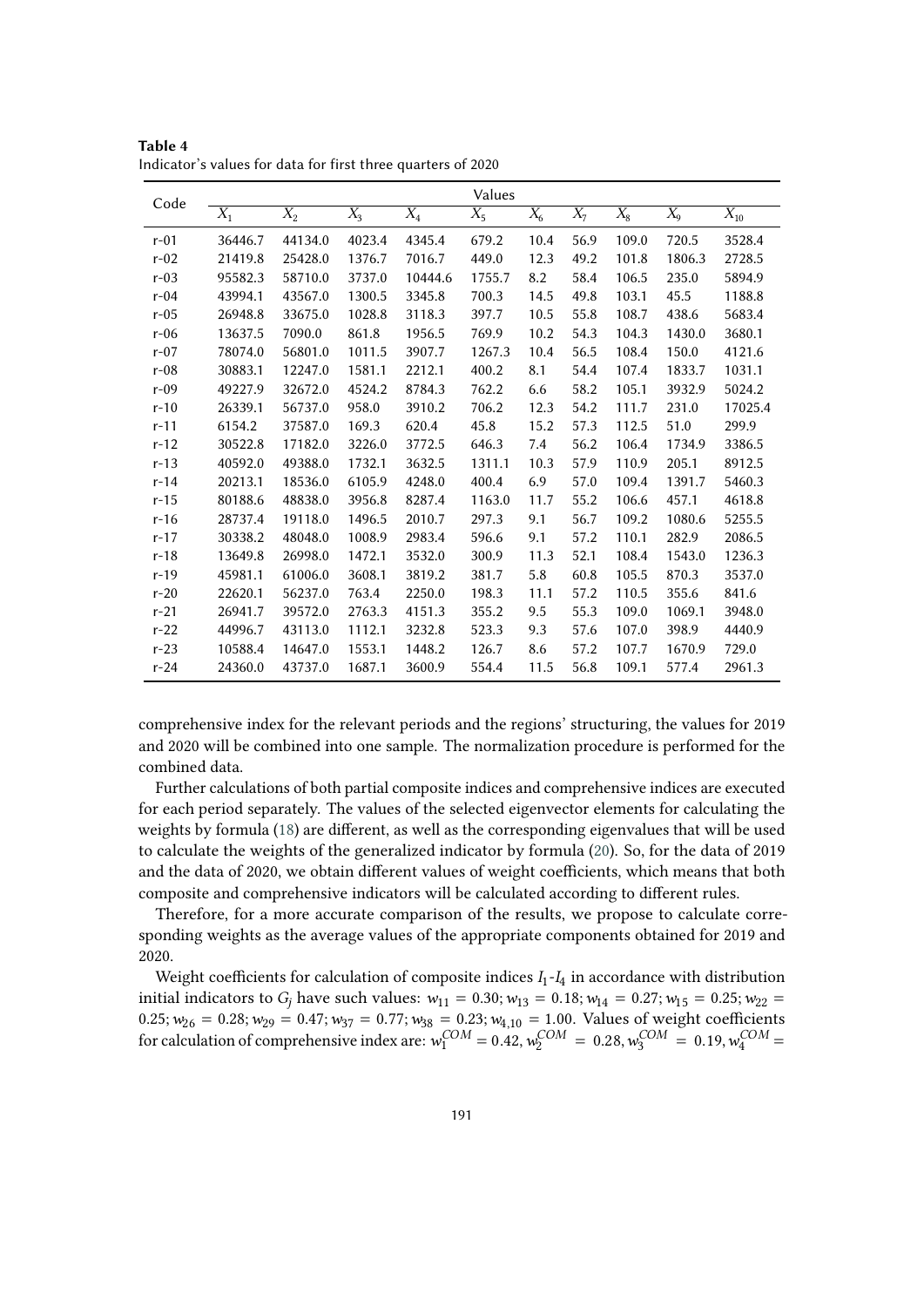| Code     |         |         |        |         | Values |       |       |       |        |                |
|----------|---------|---------|--------|---------|--------|-------|-------|-------|--------|----------------|
|          | $X_1$   | $X_2$   | $X_3$  | $X_4$   | $X_5$  | $X_6$ | $X_7$ | $X_8$ | $X_9$  | $\bar{X}_{10}$ |
| $r-01$   | 36446.7 | 44134.0 | 4023.4 | 4345.4  | 679.2  | 10.4  | 56.9  | 109.0 | 720.5  | 3528.4         |
| $r-02$   | 21419.8 | 25428.0 | 1376.7 | 7016.7  | 449.0  | 12.3  | 49.2  | 101.8 | 1806.3 | 2728.5         |
| $r-03$   | 95582.3 | 58710.0 | 3737.0 | 10444.6 | 1755.7 | 8.2   | 58.4  | 106.5 | 235.0  | 5894.9         |
| $r-04$   | 43994.1 | 43567.0 | 1300.5 | 3345.8  | 700.3  | 14.5  | 49.8  | 103.1 | 45.5   | 1188.8         |
| $r-05$   | 26948.8 | 33675.0 | 1028.8 | 3118.3  | 397.7  | 10.5  | 55.8  | 108.7 | 438.6  | 5683.4         |
| $r-06$   | 13637.5 | 7090.0  | 861.8  | 1956.5  | 769.9  | 10.2  | 54.3  | 104.3 | 1430.0 | 3680.1         |
| $r-07$   | 78074.0 | 56801.0 | 1011.5 | 3907.7  | 1267.3 | 10.4  | 56.5  | 108.4 | 150.0  | 4121.6         |
| $r-08$   | 30883.1 | 12247.0 | 1581.1 | 2212.1  | 400.2  | 8.1   | 54.4  | 107.4 | 1833.7 | 1031.1         |
| $r-09$   | 49227.9 | 32672.0 | 4524.2 | 8784.3  | 762.2  | 6.6   | 58.2  | 105.1 | 3932.9 | 5024.2         |
| $r-10$   | 26339.1 | 56737.0 | 958.0  | 3910.2  | 706.2  | 12.3  | 54.2  | 111.7 | 231.0  | 17025.4        |
| $r-11$   | 6154.2  | 37587.0 | 169.3  | 620.4   | 45.8   | 15.2  | 57.3  | 112.5 | 51.0   | 299.9          |
| $r-12$   | 30522.8 | 17182.0 | 3226.0 | 3772.5  | 646.3  | 7.4   | 56.2  | 106.4 | 1734.9 | 3386.5         |
| $r-13$   | 40592.0 | 49388.0 | 1732.1 | 3632.5  | 1311.1 | 10.3  | 57.9  | 110.9 | 205.1  | 8912.5         |
| $r-14$   | 20213.1 | 18536.0 | 6105.9 | 4248.0  | 400.4  | 6.9   | 57.0  | 109.4 | 1391.7 | 5460.3         |
| $r-15$   | 80188.6 | 48838.0 | 3956.8 | 8287.4  | 1163.0 | 11.7  | 55.2  | 106.6 | 457.1  | 4618.8         |
| $r-16$   | 28737.4 | 19118.0 | 1496.5 | 2010.7  | 297.3  | 9.1   | 56.7  | 109.2 | 1080.6 | 5255.5         |
| $r - 17$ | 30338.2 | 48048.0 | 1008.9 | 2983.4  | 596.6  | 9.1   | 57.2  | 110.1 | 282.9  | 2086.5         |
| $r-18$   | 13649.8 | 26998.0 | 1472.1 | 3532.0  | 300.9  | 11.3  | 52.1  | 108.4 | 1543.0 | 1236.3         |
| $r-19$   | 45981.1 | 61006.0 | 3608.1 | 3819.2  | 381.7  | 5.8   | 60.8  | 105.5 | 870.3  | 3537.0         |
| $r-20$   | 22620.1 | 56237.0 | 763.4  | 2250.0  | 198.3  | 11.1  | 57.2  | 110.5 | 355.6  | 841.6          |
| $r-21$   | 26941.7 | 39572.0 | 2763.3 | 4151.3  | 355.2  | 9.5   | 55.3  | 109.0 | 1069.1 | 3948.0         |
| $r-22$   | 44996.7 | 43113.0 | 1112.1 | 3232.8  | 523.3  | 9.3   | 57.6  | 107.0 | 398.9  | 4440.9         |
| $r-23$   | 10588.4 | 14647.0 | 1553.1 | 1448.2  | 126.7  | 8.6   | 57.2  | 107.7 | 1670.9 | 729.0          |
| $r-24$   | 24360.0 | 43737.0 | 1687.1 | 3600.9  | 554.4  | 11.5  | 56.8  | 109.1 | 577.4  | 2961.3         |

<span id="page-11-0"></span>**Table 4** Indicator's values for data for first three quarters of 2020

comprehensive index for the relevant periods and the regions' structuring, the values for 2019 and 2020 will be combined into one sample. The normalization procedure is performed for the combined data.

Further calculations of both partial composite indices and comprehensive indices are executed for each period separately. The values of the selected eigenvector elements for calculating the weights by formula [\(18\)](#page-6-0) are different, as well as the corresponding eigenvalues that will be used to calculate the weights of the generalized indicator by formula [\(20\)](#page-6-3). So, for the data of 2019 and the data of 2020, we obtain different values of weight coefficients, which means that both composite and comprehensive indicators will be calculated according to different rules.

Therefore, for a more accurate comparison of the results, we propose to calculate corresponding weights as the average values of the appropriate components obtained for 2019 and 2020.

Weight coefficients for calculation of composite indices  $I_1$ - $I_4$  in accordance with distribution initial indicators to  $G_i$  have such values:  $w_{11} = 0.30; w_{13} = 0.18; w_{14} = 0.27; w_{15} = 0.25; w_{22} =$  $0.25; w_{26} = 0.28; w_{29} = 0.47; w_{37} = 0.77; w_{38} = 0.23; w_{4,10} = 1.00$ . Values of weight coefficients for calculation of comprehensive index are:  $w_1^{COM} = 0.42$ ,  $w_2^{COM} = 0.28$ ,  $w_3^{COM} = 0.19$ ,  $w_4^{COM} = 0.19$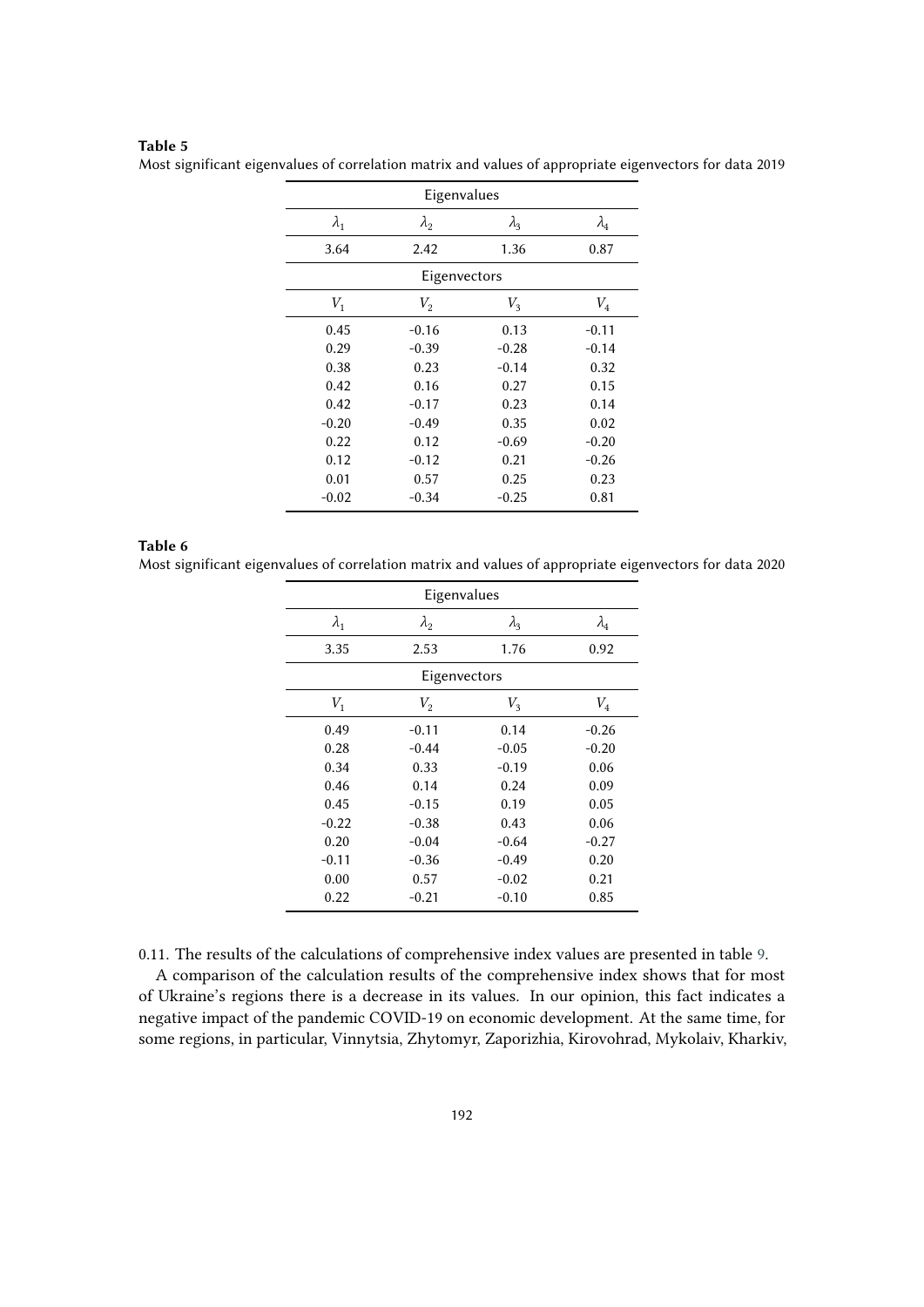### **Table 5**

<span id="page-12-0"></span>Most significant eigenvalues of correlation matrix and values of appropriate eigenvectors for data 2019

| Eigenvalues |                |             |             |  |  |
|-------------|----------------|-------------|-------------|--|--|
| $\lambda_1$ | $\lambda_2$    | $\lambda_3$ | $\lambda_4$ |  |  |
| 3.64        | 2.42           | 1.36        | 0.87        |  |  |
|             | Eigenvectors   |             |             |  |  |
| $V_1$       | V <sub>2</sub> | $V_{3}$     | $V_4$       |  |  |
| 0.45        | $-0.16$        | 0.13        | $-0.11$     |  |  |
| 0.29        | $-0.39$        | $-0.28$     | $-0.14$     |  |  |
| 0.38        | 0.23           | $-0.14$     | 0.32        |  |  |
| 0.42        | 0.16           | 0.27        | 0.15        |  |  |
| 0.42        | $-0.17$        | 0.23        | 0.14        |  |  |
| $-0.20$     | $-0.49$        | 0.35        | 0.02        |  |  |
| 0.22        | 0.12           | $-0.69$     | $-0.20$     |  |  |
| 0.12        | $-0.12$        | 0.21        | $-0.26$     |  |  |
| 0.01        | 0.57           | 0.25        | 0.23        |  |  |
| $-0.02$     | $-0.34$        | $-0.25$     | 0.81        |  |  |

#### **Table 6**

<span id="page-12-1"></span>Most significant eigenvalues of correlation matrix and values of appropriate eigenvectors for data 2020

|             | Eigenvalues   |             |             |  |  |  |
|-------------|---------------|-------------|-------------|--|--|--|
| $\lambda_1$ | $\lambda_{2}$ | $\lambda_3$ | $\lambda_4$ |  |  |  |
| 3.35        | 2.53          | 1.76        | 0.92        |  |  |  |
|             | Eigenvectors  |             |             |  |  |  |
| $V_1$       | $V_2$         | $V_3$       | $V_4$       |  |  |  |
| 0.49        | $-0.11$       | 0.14        | $-0.26$     |  |  |  |
| 0.28        | $-0.44$       | $-0.05$     | $-0.20$     |  |  |  |
| 0.34        | 0.33          | $-0.19$     | 0.06        |  |  |  |
| 0.46        | 0.14          | 0.24        | 0.09        |  |  |  |
| 0.45        | $-0.15$       | 0.19        | 0.05        |  |  |  |
| $-0.22$     | $-0.38$       | 0.43        | 0.06        |  |  |  |
| 0.20        | $-0.04$       | $-0.64$     | $-0.27$     |  |  |  |
| $-0.11$     | $-0.36$       | $-0.49$     | 0.20        |  |  |  |
| 0.00        | 0.57          | $-0.02$     | 0.21        |  |  |  |
| 0.22        | $-0.21$       | $-0.10$     | 0.85        |  |  |  |

0.11. The results of the calculations of comprehensive index values are presented in table [9.](#page-14-0)

A comparison of the calculation results of the comprehensive index shows that for most of Ukraine's regions there is a decrease in its values. In our opinion, this fact indicates a negative impact of the pandemic COVID-19 on economic development. At the same time, for some regions, in particular, Vinnytsia, Zhytomyr, Zaporizhia, Kirovohrad, Mykolaiv, Kharkiv,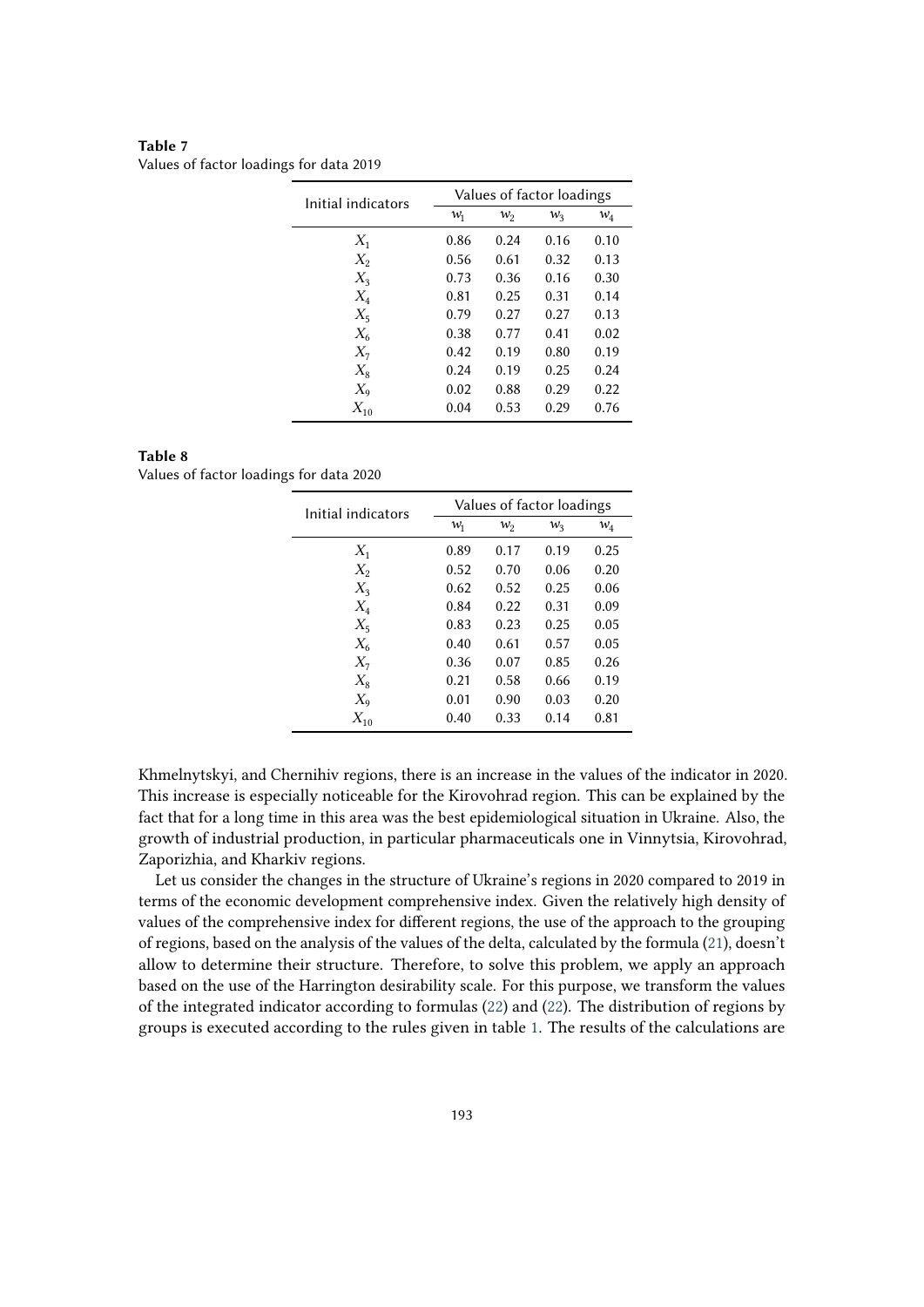| Initial indicators | Values of factor loadings |       |         |       |  |  |
|--------------------|---------------------------|-------|---------|-------|--|--|
|                    | $w_1$                     | $w_2$ | $w_{3}$ | $w_4$ |  |  |
| $X_1$              | 0.86                      | 0.24  | 0.16    | 0.10  |  |  |
| $X_2$              | 0.56                      | 0.61  | 0.32    | 0.13  |  |  |
| $X_3$              | 0.73                      | 0.36  | 0.16    | 0.30  |  |  |
| $X_4$              | 0.81                      | 0.25  | 0.31    | 0.14  |  |  |
| $X_5$              | 0.79                      | 0.27  | 0.27    | 0.13  |  |  |
| $X_6$              | 0.38                      | 0.77  | 0.41    | 0.02  |  |  |
| $X_7$              | 0.42                      | 0.19  | 0.80    | 0.19  |  |  |
| $X_8$              | 0.24                      | 0.19  | 0.25    | 0.24  |  |  |
| $X_9$              | 0.02                      | 0.88  | 0.29    | 0.22  |  |  |
| $X_{10}$           | 0.04                      | 0.53  | 0.29    | 0.76  |  |  |

<span id="page-13-0"></span>**Table 7** Values of factor loadings for data 2019

### **Table 8**

<span id="page-13-1"></span>Values of factor loadings for data 2020

| Initial indicators | Values of factor loadings |       |       |       |  |  |
|--------------------|---------------------------|-------|-------|-------|--|--|
|                    | $w_1$                     | $w_2$ | $W_3$ | $w_4$ |  |  |
| $X_1$              | 0.89                      | 0.17  | 0.19  | 0.25  |  |  |
| $X_2$              | 0.52                      | 0.70  | 0.06  | 0.20  |  |  |
| $X_3$              | 0.62                      | 0.52  | 0.25  | 0.06  |  |  |
| $X_4$              | 0.84                      | 0.22  | 0.31  | 0.09  |  |  |
| $X_5$              | 0.83                      | 0.23  | 0.25  | 0.05  |  |  |
| $X_{6}$            | 0.40                      | 0.61  | 0.57  | 0.05  |  |  |
| $X_7$              | 0.36                      | 0.07  | 0.85  | 0.26  |  |  |
| $X_8$              | 0.21                      | 0.58  | 0.66  | 0.19  |  |  |
| $X_{9}$            | 0.01                      | 0.90  | 0.03  | 0.20  |  |  |
| $X_{10}$           | 0.40                      | 0.33  | 0.14  | 0.81  |  |  |

Khmelnytskyi, and Chernihiv regions, there is an increase in the values of the indicator in 2020. This increase is especially noticeable for the Kirovohrad region. This can be explained by the fact that for a long time in this area was the best epidemiological situation in Ukraine. Also, the growth of industrial production, in particular pharmaceuticals one in Vinnytsia, Kirovohrad, Zaporizhia, and Kharkiv regions.

Let us consider the changes in the structure of Ukraine's regions in 2020 compared to 2019 in terms of the economic development comprehensive index. Given the relatively high density of values of the comprehensive index for different regions, the use of the approach to the grouping of regions, based on the analysis of the values of the delta, calculated by the formula [\(21\)](#page-7-0), doesn't allow to determine their structure. Therefore, to solve this problem, we apply an approach based on the use of the Harrington desirability scale. For this purpose, we transform the values of the integrated indicator according to formulas [\(22\)](#page-7-1) and [\(22\)](#page-7-1). The distribution of regions by groups is executed according to the rules given in table [1.](#page-8-1) The results of the calculations are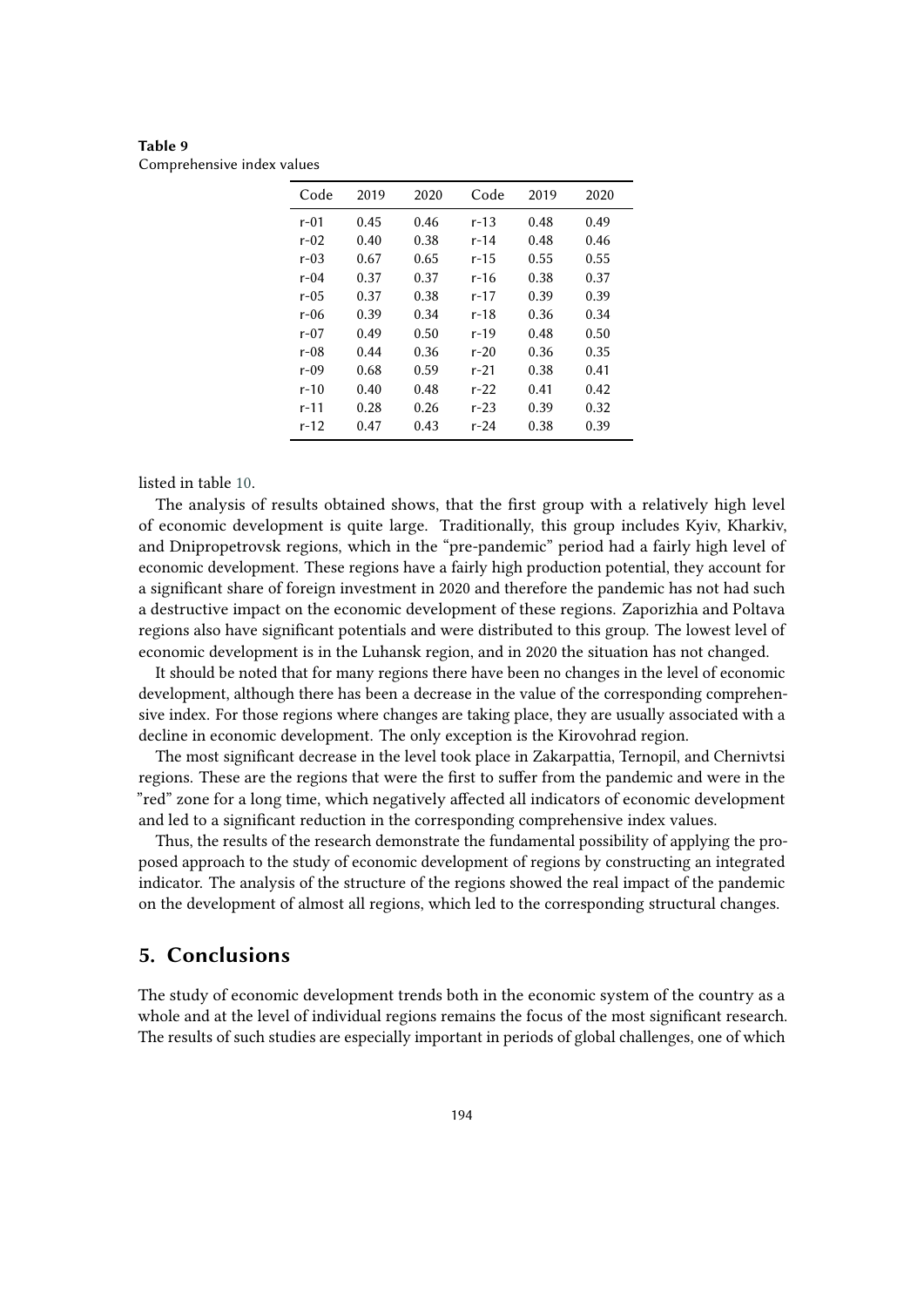<span id="page-14-0"></span>

| Table 9                    |  |  |
|----------------------------|--|--|
| Comprehensive index values |  |  |

| Code   | 2019 | 2020 | Code     | 2019 | 2020 |
|--------|------|------|----------|------|------|
| $r-01$ | 0.45 | 0.46 | r-13     | 0.48 | 0.49 |
| r-02   | 0.40 | 0.38 | r-14     | 0.48 | 0.46 |
| r-03   | 0.67 | 0.65 | r-15     | 0.55 | 0.55 |
| r-04   | 0.37 | 0.37 | r-16     | 0.38 | 0.37 |
| r-05   | 0.37 | 0.38 | r-17     | 0.39 | 0.39 |
| r-06   | 0.39 | 0.34 | r-18     | 0.36 | 0.34 |
| r-07   | 0.49 | 0.50 | r-19     | 0.48 | 0.50 |
| r-08   | 0.44 | 0.36 | $r-20$   | 0.36 | 0.35 |
| r-09   | 0.68 | 0.59 | r-21     | 0.38 | 0.41 |
| r-10   | 0.40 | 0.48 | $r-22$   | 0.41 | 0.42 |
| r-11   | 0.28 | 0.26 | $r - 23$ | 0.39 | 0.32 |
| r-12   | 0.47 | 0.43 | r-24     | 0.38 | 0.39 |

listed in table [10.](#page-15-0)

The analysis of results obtained shows, that the first group with a relatively high level of economic development is quite large. Traditionally, this group includes Kyiv, Kharkiv, and Dnipropetrovsk regions, which in the "pre-pandemic" period had a fairly high level of economic development. These regions have a fairly high production potential, they account for a significant share of foreign investment in 2020 and therefore the pandemic has not had such a destructive impact on the economic development of these regions. Zaporizhia and Poltava regions also have significant potentials and were distributed to this group. The lowest level of economic development is in the Luhansk region, and in 2020 the situation has not changed.

It should be noted that for many regions there have been no changes in the level of economic development, although there has been a decrease in the value of the corresponding comprehensive index. For those regions where changes are taking place, they are usually associated with a decline in economic development. The only exception is the Kirovohrad region.

The most significant decrease in the level took place in Zakarpattia, Ternopil, and Chernivtsi regions. These are the regions that were the first to suffer from the pandemic and were in the "red" zone for a long time, which negatively affected all indicators of economic development and led to a significant reduction in the corresponding comprehensive index values.

Thus, the results of the research demonstrate the fundamental possibility of applying the proposed approach to the study of economic development of regions by constructing an integrated indicator. The analysis of the structure of the regions showed the real impact of the pandemic on the development of almost all regions, which led to the corresponding structural changes.

### **5. Conclusions**

The study of economic development trends both in the economic system of the country as a whole and at the level of individual regions remains the focus of the most significant research. The results of such studies are especially important in periods of global challenges, one of which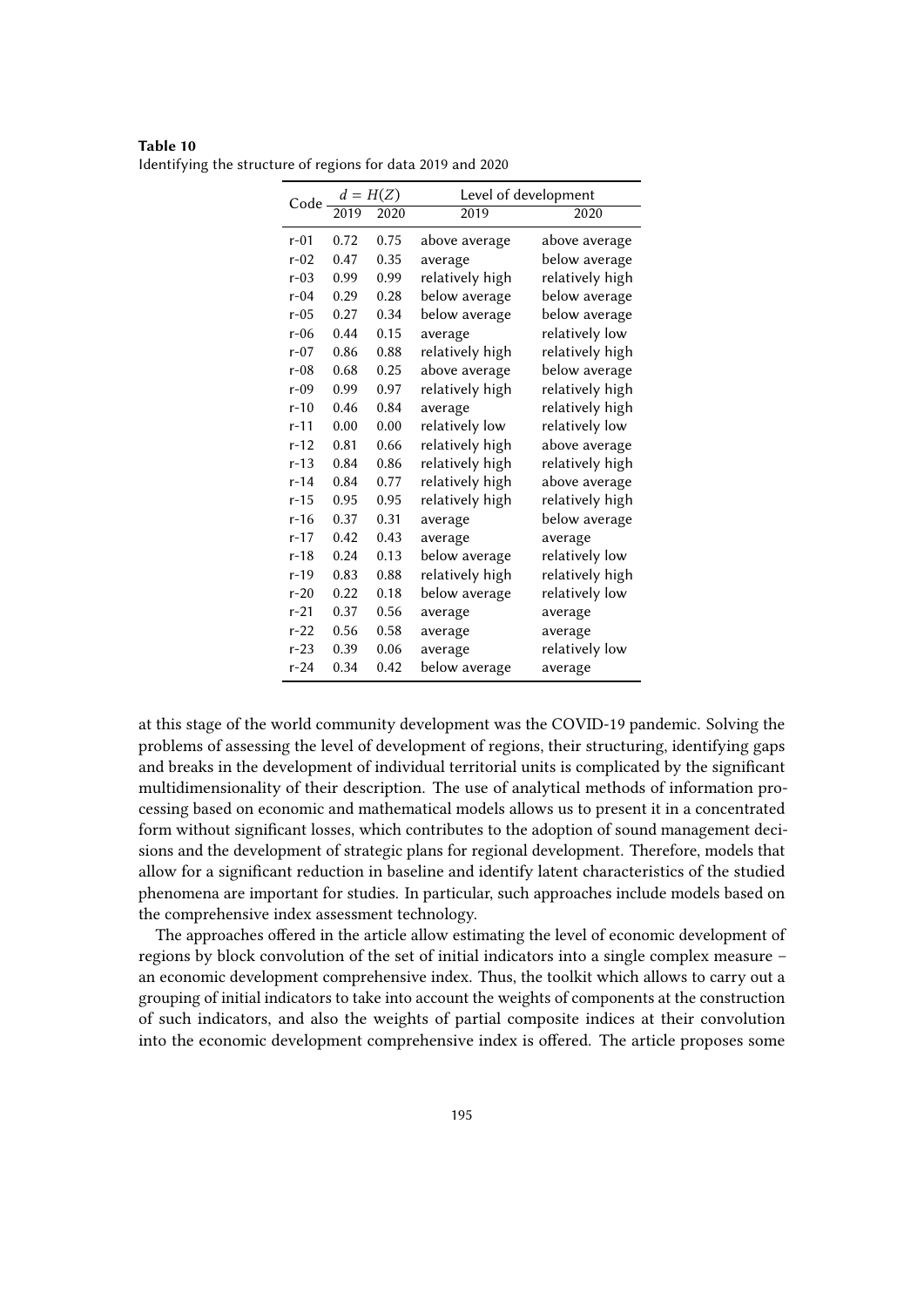| Code     |                                        |      | Level of development |                 |
|----------|----------------------------------------|------|----------------------|-----------------|
|          | $\frac{d = H(Z)}{2019 - 2020}$<br>2020 |      | 2019                 | 2020            |
| $r-01$   | 0.72                                   | 0.75 | above average        | above average   |
| $r-02$   | 0.47                                   | 0.35 | average              | below average   |
| $r-0.3$  | 0.99                                   | 0.99 | relatively high      | relatively high |
| $r-04$   | 0.29                                   | 0.28 | below average        | below average   |
| $r-05$   | 0.27                                   | 0.34 | below average        | below average   |
| $r-06$   | 0.44                                   | 0.15 | average              | relatively low  |
| $r-07$   | 0.86                                   | 0.88 | relatively high      | relatively high |
| $r-08$   | 0.68                                   | 0.25 | above average        | below average   |
| $r-09$   | 0.99                                   | 0.97 | relatively high      | relatively high |
| $r-10$   | 0.46                                   | 0.84 | average              | relatively high |
| $r - 11$ | 0.00                                   | 0.00 | relatively low       | relatively low  |
| $r - 12$ | 0.81                                   | 0.66 | relatively high      | above average   |
| $r-13$   | 0.84                                   | 0.86 | relatively high      | relatively high |
| $r - 14$ | 0.84                                   | 0.77 | relatively high      | above average   |
| $r - 15$ | 0.95                                   | 0.95 | relatively high      | relatively high |
| $r-16$   | 0.37                                   | 0.31 | average              | below average   |
| $r - 17$ | 0.42                                   | 0.43 | average              | average         |
| $r-18$   | 0.24                                   | 0.13 | below average        | relatively low  |
| $r-19$   | 0.83                                   | 0.88 | relatively high      | relatively high |
| $r-20$   | 0.22                                   | 0.18 | below average        | relatively low  |
| $r-21$   | 0.37                                   | 0.56 | average              | average         |
| $r - 22$ | 0.56                                   | 0.58 | average              | average         |
| $r-23$   | 0.39                                   | 0.06 | average              | relatively low  |
| $r - 24$ | 0.34                                   | 0.42 | below average        | average         |

<span id="page-15-0"></span>**Table 10** Identifying the structure of regions for data 2019 and 2020

at this stage of the world community development was the COVID-19 pandemic. Solving the problems of assessing the level of development of regions, their structuring, identifying gaps and breaks in the development of individual territorial units is complicated by the significant multidimensionality of their description. The use of analytical methods of information processing based on economic and mathematical models allows us to present it in a concentrated form without significant losses, which contributes to the adoption of sound management decisions and the development of strategic plans for regional development. Therefore, models that allow for a significant reduction in baseline and identify latent characteristics of the studied phenomena are important for studies. In particular, such approaches include models based on the comprehensive index assessment technology.

The approaches offered in the article allow estimating the level of economic development of regions by block convolution of the set of initial indicators into a single complex measure – an economic development comprehensive index. Thus, the toolkit which allows to carry out a grouping of initial indicators to take into account the weights of components at the construction of such indicators, and also the weights of partial composite indices at their convolution into the economic development comprehensive index is offered. The article proposes some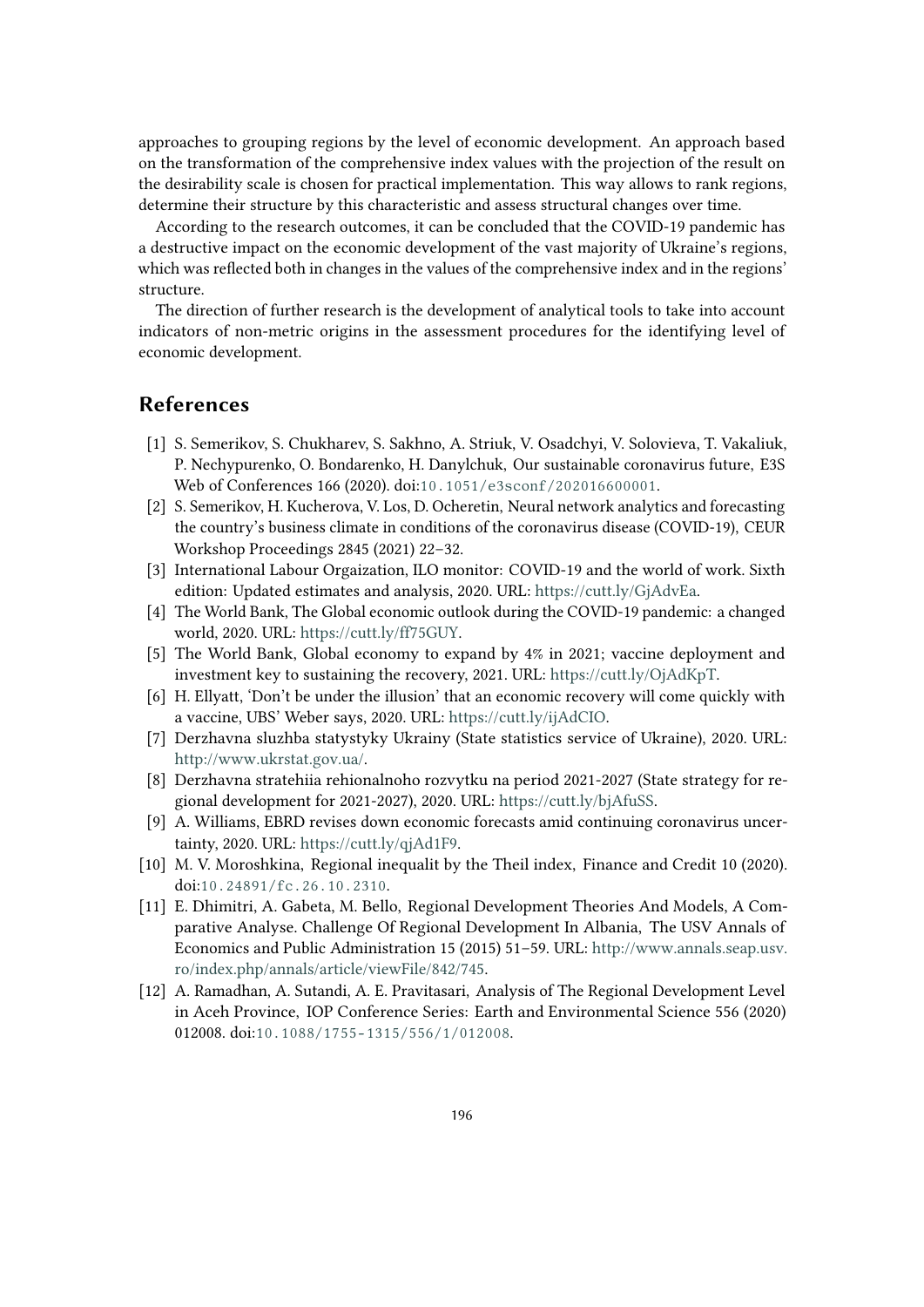approaches to grouping regions by the level of economic development. An approach based on the transformation of the comprehensive index values with the projection of the result on the desirability scale is chosen for practical implementation. This way allows to rank regions, determine their structure by this characteristic and assess structural changes over time.

According to the research outcomes, it can be concluded that the COVID-19 pandemic has a destructive impact on the economic development of the vast majority of Ukraine's regions, which was reflected both in changes in the values of the comprehensive index and in the regions' structure.

The direction of further research is the development of analytical tools to take into account indicators of non-metric origins in the assessment procedures for the identifying level of economic development.

# **References**

- <span id="page-16-0"></span>[1] S. Semerikov, S. Chukharev, S. Sakhno, A. Striuk, V. Osadchyi, V. Solovieva, T. Vakaliuk, P. Nechypurenko, O. Bondarenko, H. Danylchuk, Our sustainable coronavirus future, E3S Web of Conferences 166 (2020). doi:[10.1051/e3sconf/202016600001](http://dx.doi.org/10.1051/e3sconf/202016600001).
- <span id="page-16-1"></span>[2] S. Semerikov, H. Kucherova, V. Los, D. Ocheretin, Neural network analytics and forecasting the country's business climate in conditions of the coronavirus disease (COVID-19), CEUR Workshop Proceedings 2845 (2021) 22–32.
- <span id="page-16-2"></span>[3] International Labour Orgaization, ILO monitor: COVID-19 and the world of work. Sixth edition: Updated estimates and analysis, 2020. URL: [https://cutt.ly/GjAdvEa.](https://cutt.ly/GjAdvEa)
- <span id="page-16-3"></span>[4] The World Bank, The Global economic outlook during the COVID-19 pandemic: a changed world, 2020. URL: [https://cutt.ly/ff75GUY.](https://cutt.ly/ff75GUY)
- <span id="page-16-4"></span>[5] The World Bank, Global economy to expand by 4% in 2021; vaccine deployment and investment key to sustaining the recovery, 2021. URL: [https://cutt.ly/OjAdKpT.](https://cutt.ly/OjAdKpT)
- <span id="page-16-5"></span>[6] H. Ellyatt, 'Don't be under the illusion' that an economic recovery will come quickly with a vaccine, UBS' Weber says, 2020. URL: [https://cutt.ly/ijAdCIO.](https://cutt.ly/ijAdCIO)
- <span id="page-16-6"></span>[7] Derzhavna sluzhba statystyky Ukrainy (State statistics service of Ukraine), 2020. URL: [http://www.ukrstat.gov.ua/.](http://www.ukrstat.gov.ua/)
- <span id="page-16-7"></span>[8] Derzhavna stratehiia rehionalnoho rozvytku na period 2021-2027 (State strategy for regional development for 2021-2027), 2020. URL: [https://cutt.ly/bjAfuSS.](https://cutt.ly/bjAfuSS)
- <span id="page-16-8"></span>[9] A. Williams, EBRD revises down economic forecasts amid continuing coronavirus uncertainty, 2020. URL: [https://cutt.ly/qjAd1F9.](https://cutt.ly/qjAd1F9)
- <span id="page-16-9"></span>[10] M. V. Moroshkina, Regional inequalit by the Theil index, Finance and Credit 10 (2020). doi:[10.24891/fc.26.10.2310](http://dx.doi.org/10.24891/fc.26.10.2310).
- <span id="page-16-10"></span>[11] E. Dhimitri, A. Gabeta, M. Bello, Regional Development Theories And Models, A Comparative Analyse. Challenge Of Regional Development In Albania, The USV Annals of Economics and Public Administration 15 (2015) 51–59. URL: [http://www.annals.seap.usv.](http://www.annals.seap.usv.ro/index.php/annals/article/viewFile/842/745) [ro/index.php/annals/article/viewFile/842/745.](http://www.annals.seap.usv.ro/index.php/annals/article/viewFile/842/745)
- <span id="page-16-11"></span>[12] A. Ramadhan, A. Sutandi, A. E. Pravitasari, Analysis of The Regional Development Level in Aceh Province, IOP Conference Series: Earth and Environmental Science 556 (2020) 012008. doi:10.1088/1755-1315/556/1/012008.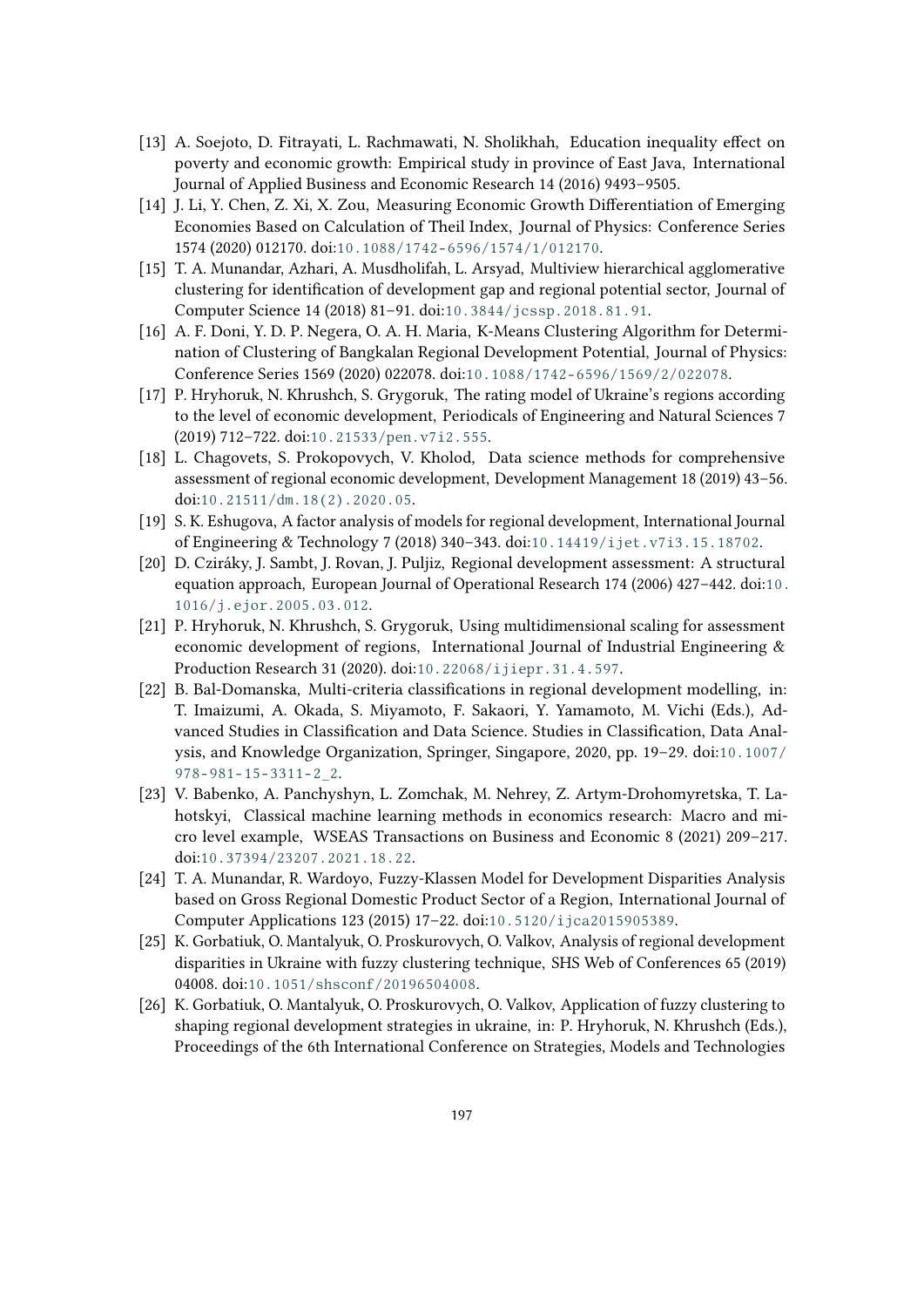- <span id="page-17-0"></span>[13] A. Soejoto, D. Fitrayati, L. Rachmawati, N. Sholikhah, Education inequality effect on poverty and economic growth: Empirical study in province of East Java, International Journal of Applied Business and Economic Research 14 (2016) 9493–9505.
- <span id="page-17-1"></span>[14] J. Li, Y. Chen, Z. Xi, X. Zou, Measuring Economic Growth Differentiation of Emerging Economies Based on Calculation of Theil Index, Journal of Physics: Conference Series 1574 (2020) 012170. doi:[10.1088/1742- 6596/1574/1/012170](http://dx.doi.org/10.1088/1742-6596/1574/1/012170).
- <span id="page-17-2"></span>[15] T. A. Munandar, Azhari, A. Musdholifah, L. Arsyad, Multiview hierarchical agglomerative clustering for identification of development gap and regional potential sector, Journal of Computer Science 14 (2018) 81–91. doi:[10.3844/jcssp.2018.81.91](http://dx.doi.org/10.3844/jcssp.2018.81.91).
- <span id="page-17-3"></span>[16] A. F. Doni, Y. D. P. Negera, O. A. H. Maria, K-Means Clustering Algorithm for Determination of Clustering of Bangkalan Regional Development Potential, Journal of Physics: Conference Series 1569 (2020) 022078. doi:[10.1088/1742- 6596/1569/2/022078](http://dx.doi.org/10.1088/1742-6596/1569/2/022078).
- <span id="page-17-4"></span>[17] P. Hryhoruk, N. Khrushch, S. Grygoruk, The rating model of Ukraine's regions according to the level of economic development, Periodicals of Engineering and Natural Sciences 7 (2019) 712–722. doi:[10.21533/pen.v7i2.555](http://dx.doi.org/10.21533/pen.v7i2.555).
- <span id="page-17-5"></span>[18] L. Chagovets, S. Prokopovych, V. Kholod, Data science methods for comprehensive assessment of regional economic development, Development Management 18 (2019) 43–56. doi:[10.21511/dm.18\(2\).2020.05](http://dx.doi.org/10.21511/dm.18(2).2020.05).
- <span id="page-17-6"></span>[19] S. K. Eshugova, A factor analysis of models for regional development, International Journal of Engineering & Technology 7 (2018) 340–343. doi:[10.14419/ijet.v7i3.15.18702](http://dx.doi.org/10.14419/ijet.v7i3.15.18702).
- <span id="page-17-7"></span>[20] D. Cziráky, J. Sambt, J. Rovan, J. Puljiz, Regional development assessment: A structural equation approach, European Journal of Operational Research 174 (2006) 427–442. doi:[10.](http://dx.doi.org/10.1016/j.ejor.2005.03.012) [1016/j.ejor.2005.03.012](http://dx.doi.org/10.1016/j.ejor.2005.03.012).
- <span id="page-17-8"></span>[21] P. Hryhoruk, N. Khrushch, S. Grygoruk, Using multidimensional scaling for assessment economic development of regions, International Journal of Industrial Engineering & Production Research 31 (2020). doi:[10.22068/ijiepr.31.4.597](http://dx.doi.org/10.22068/ijiepr.31.4.597).
- <span id="page-17-9"></span>[22] B. Bal-Domanska, Multi-criteria classifications in regional development modelling, in: T. Imaizumi, A. Okada, S. Miyamoto, F. Sakaori, Y. Yamamoto, M. Vichi (Eds.), Advanced Studies in Classification and Data Science. Studies in Classification, Data Analysis, and Knowledge Organization, Springer, Singapore, 2020, pp. 19–29. doi:[10.1007/](http://dx.doi.org/10.1007/978-981-15-3311-2_2) [978- 981- 15- 3311- 2\\_2](http://dx.doi.org/10.1007/978-981-15-3311-2_2).
- <span id="page-17-10"></span>[23] V. Babenko, A. Panchyshyn, L. Zomchak, M. Nehrey, Z. Artym-Drohomyretska, T. Lahotskyi, Classical machine learning methods in economics research: Macro and micro level example, WSEAS Transactions on Business and Economic 8 (2021) 209–217. doi:[10.37394/23207.2021.18.22](http://dx.doi.org/10.37394/23207.2021.18.22).
- <span id="page-17-11"></span>[24] T. A. Munandar, R. Wardoyo, Fuzzy-Klassen Model for Development Disparities Analysis based on Gross Regional Domestic Product Sector of a Region, International Journal of Computer Applications 123 (2015) 17–22. doi:[10.5120/ijca2015905389](http://dx.doi.org/10.5120/ijca2015905389).
- <span id="page-17-12"></span>[25] K. Gorbatiuk, O. Mantalyuk, O. Proskurovych, O. Valkov, Analysis of regional development disparities in Ukraine with fuzzy clustering technique, SHS Web of Conferences 65 (2019) 04008. doi:[10.1051/shsconf/20196504008](http://dx.doi.org/10.1051/shsconf/20196504008).
- <span id="page-17-13"></span>[26] K. Gorbatiuk, O. Mantalyuk, O. Proskurovych, O. Valkov, Application of fuzzy clustering to shaping regional development strategies in ukraine, in: P. Hryhoruk, N. Khrushch (Eds.), Proceedings of the 6th International Conference on Strategies, Models and Technologies